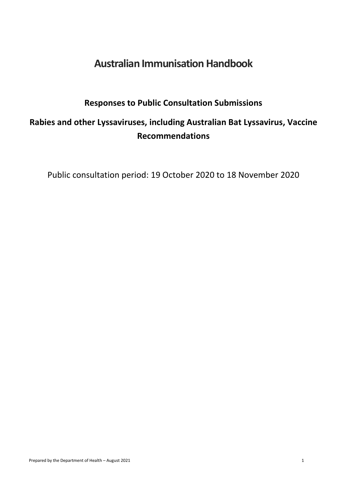# **Australian Immunisation Handbook**

### **Responses to Public Consultation Submissions**

# **Rabies and other Lyssaviruses, including Australian Bat Lyssavirus, Vaccine Recommendations**

Public consultation period: 19 October 2020 to 18 November 2020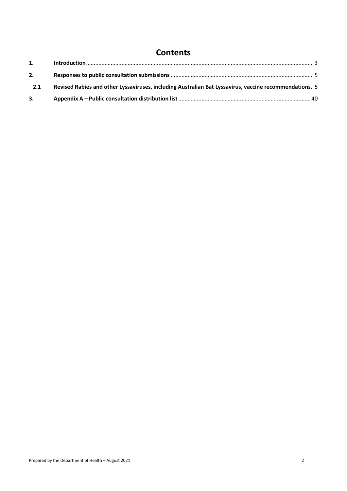#### **Contents**

| 2.  |                                                                                                       |  |
|-----|-------------------------------------------------------------------------------------------------------|--|
| 2.1 | Revised Rabies and other Lyssaviruses, including Australian Bat Lyssavirus, vaccine recommendations 5 |  |
| 3.  |                                                                                                       |  |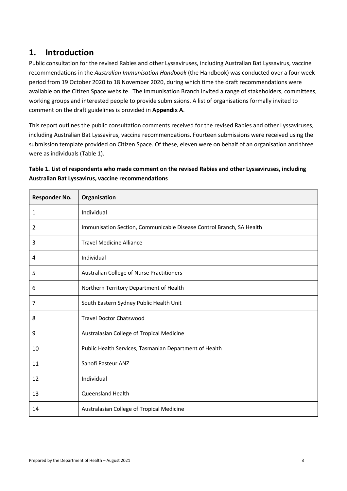#### <span id="page-2-0"></span>**1. Introduction**

Public consultation for the revised Rabies and other Lyssaviruses, including Australian Bat Lyssavirus, vaccine recommendations in the *Australian Immunisation Handbook* (the Handbook) was conducted over a four week period from 19 October 2020 to 18 November 2020, during which time the draft recommendations were available on the Citizen Space website. The Immunisation Branch invited a range of stakeholders, committees, working groups and interested people to provide submissions. A list of organisations formally invited to comment on the draft guidelines is provided in **Appendix A**.

This report outlines the public consultation comments received for the revised Rabies and other Lyssaviruses, including Australian Bat Lyssavirus, vaccine recommendations. Fourteen submissions were received using the submission template provided on Citizen Space. Of these, eleven were on behalf of an organisation and three were as individuals (Table 1).

| Table 1. List of respondents who made comment on the revised Rabies and other Lyssaviruses, including |
|-------------------------------------------------------------------------------------------------------|
| <b>Australian Bat Lyssavirus, vaccine recommendations</b>                                             |

| <b>Responder No.</b> | Organisation                                                         |
|----------------------|----------------------------------------------------------------------|
| 1                    | Individual                                                           |
| 2                    | Immunisation Section, Communicable Disease Control Branch, SA Health |
| 3                    | <b>Travel Medicine Alliance</b>                                      |
| 4                    | Individual                                                           |
| 5                    | Australian College of Nurse Practitioners                            |
| 6                    | Northern Territory Department of Health                              |
| 7                    | South Eastern Sydney Public Health Unit                              |
| 8                    | <b>Travel Doctor Chatswood</b>                                       |
| 9                    | Australasian College of Tropical Medicine                            |
| 10                   | Public Health Services, Tasmanian Department of Health               |
| 11                   | Sanofi Pasteur ANZ                                                   |
| 12                   | Individual                                                           |
| 13                   | Queensland Health                                                    |
| 14                   | Australasian College of Tropical Medicine                            |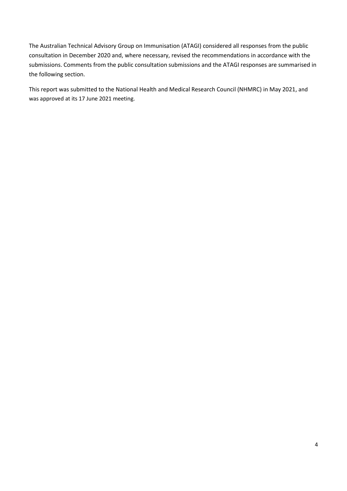The Australian Technical Advisory Group on Immunisation (ATAGI) considered all responses from the public consultation in December 2020 and, where necessary, revised the recommendations in accordance with the submissions. Comments from the public consultation submissions and the ATAGI responses are summarised in the following section.

This report was submitted to the National Health and Medical Research Council (NHMRC) in May 2021, and was approved at its 17 June 2021 meeting.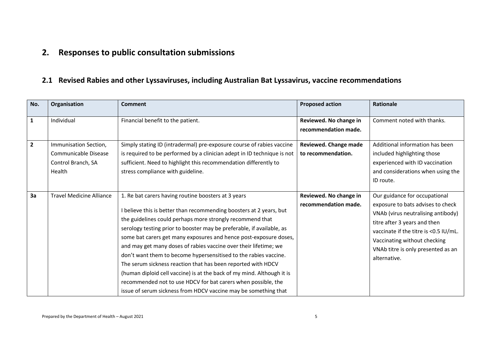## **2. Responses to public consultation submissions**

#### **2.1 Revised Rabies and other Lyssaviruses, including Australian Bat Lyssavirus, vaccine recommendations**

<span id="page-4-1"></span><span id="page-4-0"></span>

| No.            | Organisation                                                                  | <b>Comment</b>                                                                                                                                                                                                                                                                                                                                                                                                                                                                                                                                                                                                                                                                                                                                              | <b>Proposed action</b>                         | Rationale                                                                                                                                                                                                                                                               |
|----------------|-------------------------------------------------------------------------------|-------------------------------------------------------------------------------------------------------------------------------------------------------------------------------------------------------------------------------------------------------------------------------------------------------------------------------------------------------------------------------------------------------------------------------------------------------------------------------------------------------------------------------------------------------------------------------------------------------------------------------------------------------------------------------------------------------------------------------------------------------------|------------------------------------------------|-------------------------------------------------------------------------------------------------------------------------------------------------------------------------------------------------------------------------------------------------------------------------|
| $\mathbf{1}$   | Individual                                                                    | Financial benefit to the patient.                                                                                                                                                                                                                                                                                                                                                                                                                                                                                                                                                                                                                                                                                                                           | Reviewed. No change in<br>recommendation made. | Comment noted with thanks.                                                                                                                                                                                                                                              |
| $\overline{2}$ | Immunisation Section,<br>Communicable Disease<br>Control Branch, SA<br>Health | Simply stating ID (intradermal) pre-exposure course of rabies vaccine<br>is required to be performed by a clinician adept in ID technique is not<br>sufficient. Need to highlight this recommendation differently to<br>stress compliance with guideline.                                                                                                                                                                                                                                                                                                                                                                                                                                                                                                   | Reviewed. Change made<br>to recommendation.    | Additional information has been<br>included highlighting those<br>experienced with ID vaccination<br>and considerations when using the<br>ID route.                                                                                                                     |
| 3a             | <b>Travel Medicine Alliance</b>                                               | 1. Re bat carers having routine boosters at 3 years<br>I believe this is better than recommending boosters at 2 years, but<br>the guidelines could perhaps more strongly recommend that<br>serology testing prior to booster may be preferable, if available, as<br>some bat carers get many exposures and hence post-exposure doses,<br>and may get many doses of rabies vaccine over their lifetime; we<br>don't want them to become hypersensitised to the rabies vaccine.<br>The serum sickness reaction that has been reported with HDCV<br>(human diploid cell vaccine) is at the back of my mind. Although it is<br>recommended not to use HDCV for bat carers when possible, the<br>issue of serum sickness from HDCV vaccine may be something that | Reviewed. No change in<br>recommendation made. | Our guidance for occupational<br>exposure to bats advises to check<br>VNAb (virus neutralising antibody)<br>titre after 3 years and then<br>vaccinate if the titre is <0.5 IU/mL.<br>Vaccinating without checking<br>VNAb titre is only presented as an<br>alternative. |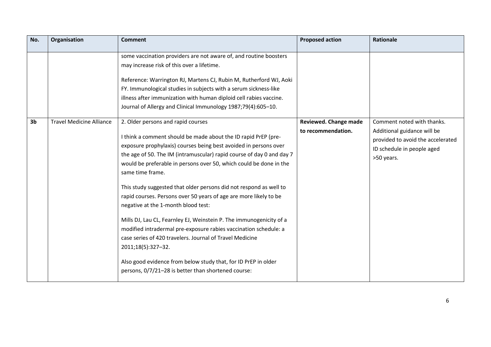| No.            | Organisation                    | <b>Comment</b>                                                                                                                                                                                                                                                                                                                                                                                                                                                                                                                                                                                                                                                                                                                                                                                                                                                                      | <b>Proposed action</b>                      | <b>Rationale</b>                                                                                                                           |
|----------------|---------------------------------|-------------------------------------------------------------------------------------------------------------------------------------------------------------------------------------------------------------------------------------------------------------------------------------------------------------------------------------------------------------------------------------------------------------------------------------------------------------------------------------------------------------------------------------------------------------------------------------------------------------------------------------------------------------------------------------------------------------------------------------------------------------------------------------------------------------------------------------------------------------------------------------|---------------------------------------------|--------------------------------------------------------------------------------------------------------------------------------------------|
|                |                                 | some vaccination providers are not aware of, and routine boosters<br>may increase risk of this over a lifetime.<br>Reference: Warrington RJ, Martens CJ, Rubin M, Rutherford WJ, Aoki<br>FY. Immunological studies in subjects with a serum sickness-like<br>illness after immunization with human diploid cell rabies vaccine.<br>Journal of Allergy and Clinical Immunology 1987;79(4):605-10.                                                                                                                                                                                                                                                                                                                                                                                                                                                                                    |                                             |                                                                                                                                            |
| 3 <sub>b</sub> | <b>Travel Medicine Alliance</b> | 2. Older persons and rapid courses<br>I think a comment should be made about the ID rapid PrEP (pre-<br>exposure prophylaxis) courses being best avoided in persons over<br>the age of 50. The IM (intramuscular) rapid course of day 0 and day 7<br>would be preferable in persons over 50, which could be done in the<br>same time frame.<br>This study suggested that older persons did not respond as well to<br>rapid courses. Persons over 50 years of age are more likely to be<br>negative at the 1-month blood test:<br>Mills DJ, Lau CL, Fearnley EJ, Weinstein P. The immunogenicity of a<br>modified intradermal pre-exposure rabies vaccination schedule: a<br>case series of 420 travelers. Journal of Travel Medicine<br>2011;18(5):327-32.<br>Also good evidence from below study that, for ID PrEP in older<br>persons, 0/7/21-28 is better than shortened course: | Reviewed. Change made<br>to recommendation. | Comment noted with thanks.<br>Additional guidance will be<br>provided to avoid the accelerated<br>ID schedule in people aged<br>>50 years. |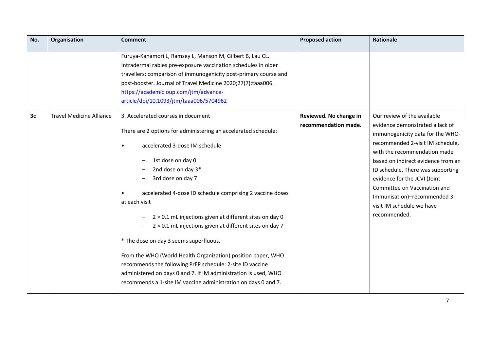| No.            | Organisation                    | <b>Comment</b>                                                                                                                                                                                                                                                                                                                                                                                                                                                                                                                                                                                                                                                                                                                                    | <b>Proposed action</b>                         | <b>Rationale</b>                                                                                                                                                                                                                                                                                                                                                                               |
|----------------|---------------------------------|---------------------------------------------------------------------------------------------------------------------------------------------------------------------------------------------------------------------------------------------------------------------------------------------------------------------------------------------------------------------------------------------------------------------------------------------------------------------------------------------------------------------------------------------------------------------------------------------------------------------------------------------------------------------------------------------------------------------------------------------------|------------------------------------------------|------------------------------------------------------------------------------------------------------------------------------------------------------------------------------------------------------------------------------------------------------------------------------------------------------------------------------------------------------------------------------------------------|
|                |                                 | Furuya-Kanamori L, Ramsey L, Manson M, Gilbert B, Lau CL.<br>Intradermal rabies pre-exposure vaccination schedules in older<br>travellers: comparison of immunogenicity post-primary course and<br>post-booster. Journal of Travel Medicine 2020;27(7);taaa006.<br>https://academic.oup.com/jtm/advance-<br>article/doi/10.1093/jtm/taaa006/5704962                                                                                                                                                                                                                                                                                                                                                                                               |                                                |                                                                                                                                                                                                                                                                                                                                                                                                |
| 3 <sub>c</sub> | <b>Travel Medicine Alliance</b> | 3. Accelerated courses in document<br>There are 2 options for administering an accelerated schedule:<br>accelerated 3-dose IM schedule<br>$\bullet$<br>1st dose on day 0<br>2nd dose on day 3*<br>3rd dose on day 7<br>accelerated 4-dose ID schedule comprising 2 vaccine doses<br>at each visit<br>$2 \times 0.1$ mL injections given at different sites on day 0<br>$2 \times 0.1$ mL injections given at different sites on day 7<br>* The dose on day 3 seems superfluous.<br>From the WHO (World Health Organization) position paper, WHO<br>recommends the following PrEP schedule: 2-site ID vaccine<br>administered on days 0 and 7. If IM administration is used, WHO<br>recommends a 1-site IM vaccine administration on days 0 and 7. | Reviewed. No change in<br>recommendation made. | Our review of the available<br>evidence demonstrated a lack of<br>immunogenicity data for the WHO-<br>recommended 2-visit IM schedule,<br>with the recommendation made<br>based on indirect evidence from an<br>ID schedule. There was supporting<br>evidence for the JCVI (Joint<br>Committee on Vaccination and<br>Immunisation)-recommended 3-<br>visit IM schedule we have<br>recommended. |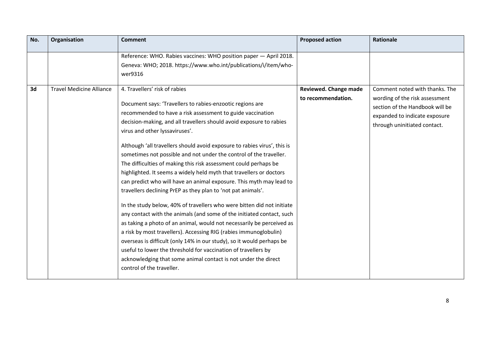| No. | Organisation                    | <b>Comment</b>                                                                                                                                                                                                                                                                                                                                                                                                                                                                                                                                                                                                                                                                                                                                                                                                                                                                                                                                                                                                                                                                                                                                                                                                  | <b>Proposed action</b>       | <b>Rationale</b>                                                                                                                   |
|-----|---------------------------------|-----------------------------------------------------------------------------------------------------------------------------------------------------------------------------------------------------------------------------------------------------------------------------------------------------------------------------------------------------------------------------------------------------------------------------------------------------------------------------------------------------------------------------------------------------------------------------------------------------------------------------------------------------------------------------------------------------------------------------------------------------------------------------------------------------------------------------------------------------------------------------------------------------------------------------------------------------------------------------------------------------------------------------------------------------------------------------------------------------------------------------------------------------------------------------------------------------------------|------------------------------|------------------------------------------------------------------------------------------------------------------------------------|
| 3d  | <b>Travel Medicine Alliance</b> | Reference: WHO. Rabies vaccines: WHO position paper - April 2018.<br>Geneva: WHO; 2018. https://www.who.int/publications/i/item/who-<br>wer9316<br>4. Travellers' risk of rabies                                                                                                                                                                                                                                                                                                                                                                                                                                                                                                                                                                                                                                                                                                                                                                                                                                                                                                                                                                                                                                | <b>Reviewed. Change made</b> | Comment noted with thanks. The                                                                                                     |
|     |                                 | Document says: 'Travellers to rabies-enzootic regions are<br>recommended to have a risk assessment to guide vaccination<br>decision-making, and all travellers should avoid exposure to rabies<br>virus and other lyssaviruses'.<br>Although 'all travellers should avoid exposure to rabies virus', this is<br>sometimes not possible and not under the control of the traveller.<br>The difficulties of making this risk assessment could perhaps be<br>highlighted. It seems a widely held myth that travellers or doctors<br>can predict who will have an animal exposure. This myth may lead to<br>travellers declining PrEP as they plan to 'not pat animals'.<br>In the study below, 40% of travellers who were bitten did not initiate<br>any contact with the animals (and some of the initiated contact, such<br>as taking a photo of an animal, would not necessarily be perceived as<br>a risk by most travellers). Accessing RIG (rabies immunoglobulin)<br>overseas is difficult (only 14% in our study), so it would perhaps be<br>useful to lower the threshold for vaccination of travellers by<br>acknowledging that some animal contact is not under the direct<br>control of the traveller. | to recommendation.           | wording of the risk assessment<br>section of the Handbook will be<br>expanded to indicate exposure<br>through uninitiated contact. |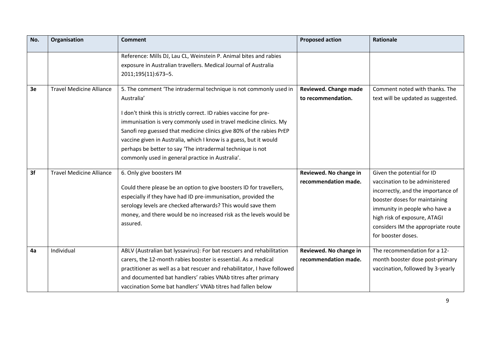| No. | Organisation                    | <b>Comment</b>                                                                                                                                                                                                                                                                                                                                                                                                                                                                            | <b>Proposed action</b>                         | Rationale                                                                                                                                                                                                                                                        |
|-----|---------------------------------|-------------------------------------------------------------------------------------------------------------------------------------------------------------------------------------------------------------------------------------------------------------------------------------------------------------------------------------------------------------------------------------------------------------------------------------------------------------------------------------------|------------------------------------------------|------------------------------------------------------------------------------------------------------------------------------------------------------------------------------------------------------------------------------------------------------------------|
|     |                                 | Reference: Mills DJ, Lau CL, Weinstein P. Animal bites and rabies<br>exposure in Australian travellers. Medical Journal of Australia<br>2011;195(11):673-5.                                                                                                                                                                                                                                                                                                                               |                                                |                                                                                                                                                                                                                                                                  |
| 3e  | <b>Travel Medicine Alliance</b> | 5. The comment 'The intradermal technique is not commonly used in<br>Australia'<br>I don't think this is strictly correct. ID rabies vaccine for pre-<br>immunisation is very commonly used in travel medicine clinics. My<br>Sanofi rep guessed that medicine clinics give 80% of the rabies PrEP<br>vaccine given in Australia, which I know is a guess, but it would<br>perhaps be better to say 'The intradermal technique is not<br>commonly used in general practice in Australia'. | Reviewed. Change made<br>to recommendation.    | Comment noted with thanks. The<br>text will be updated as suggested.                                                                                                                                                                                             |
| 3f  | <b>Travel Medicine Alliance</b> | 6. Only give boosters IM<br>Could there please be an option to give boosters ID for travellers,<br>especially if they have had ID pre-immunisation, provided the<br>serology levels are checked afterwards? This would save them<br>money, and there would be no increased risk as the levels would be<br>assured.                                                                                                                                                                        | Reviewed. No change in<br>recommendation made. | Given the potential for ID<br>vaccination to be administered<br>incorrectly, and the importance of<br>booster doses for maintaining<br>immunity in people who have a<br>high risk of exposure, ATAGI<br>considers IM the appropriate route<br>for booster doses. |
| 4a  | Individual                      | ABLV (Australian bat lyssavirus): For bat rescuers and rehabilitation<br>carers, the 12-month rabies booster is essential. As a medical<br>practitioner as well as a bat rescuer and rehabilitator, I have followed<br>and documented bat handlers' rabies VNAb titres after primary<br>vaccination Some bat handlers' VNAb titres had fallen below                                                                                                                                       | Reviewed. No change in<br>recommendation made. | The recommendation for a 12-<br>month booster dose post-primary<br>vaccination, followed by 3-yearly                                                                                                                                                             |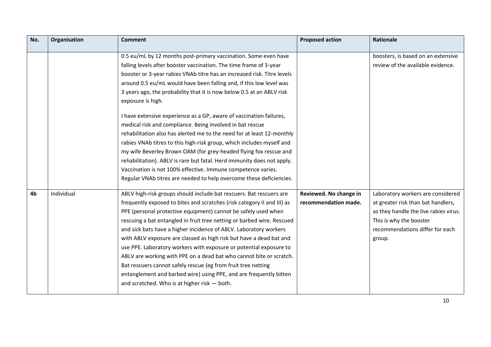| No.            | Organisation | <b>Comment</b>                                                          | <b>Proposed action</b> | <b>Rationale</b>                      |
|----------------|--------------|-------------------------------------------------------------------------|------------------------|---------------------------------------|
|                |              | 0.5 eu/mL by 12 months post-primary vaccination. Some even have         |                        | boosters, is based on an extensive    |
|                |              | falling levels after booster vaccination. The time frame of 3-year      |                        | review of the available evidence.     |
|                |              | booster or 3-year rabies VNAb titre has an increased risk. Titre levels |                        |                                       |
|                |              |                                                                         |                        |                                       |
|                |              | around 0.5 eu/mL would have been falling and, if this low level was     |                        |                                       |
|                |              | 3 years ago, the probability that it is now below 0.5 at an ABLV risk   |                        |                                       |
|                |              | exposure is high.                                                       |                        |                                       |
|                |              | I have extensive experience as a GP, aware of vaccination failures,     |                        |                                       |
|                |              | medical risk and compliance. Being involved in bat rescue               |                        |                                       |
|                |              | rehabilitation also has alerted me to the need for at least 12-monthly  |                        |                                       |
|                |              | rabies VNAb titres to this high-risk group, which includes myself and   |                        |                                       |
|                |              | my wife Beverley Brown OAM (for grey-headed flying fox rescue and       |                        |                                       |
|                |              | rehabilitation). ABLV is rare but fatal. Herd immunity does not apply.  |                        |                                       |
|                |              | Vaccination is not 100% effective. Immune competence varies.            |                        |                                       |
|                |              | Regular VNAb titres are needed to help overcome these deficiencies.     |                        |                                       |
|                |              |                                                                         |                        |                                       |
| 4 <sub>b</sub> | Individual   | ABLV high-risk groups should include bat rescuers. Bat rescuers are     | Reviewed. No change in | Laboratory workers are considered     |
|                |              | frequently exposed to bites and scratches (risk category II and III) as | recommendation made.   | at greater risk than bat handlers,    |
|                |              | PPE (personal protective equipment) cannot be safely used when          |                        | as they handle the live rabies virus. |
|                |              | rescuing a bat entangled in fruit tree netting or barbed wire. Rescued  |                        | This is why the booster               |
|                |              | and sick bats have a higher incidence of ABLV. Laboratory workers       |                        | recommendations differ for each       |
|                |              | with ABLV exposure are classed as high risk but have a dead bat and     |                        | group.                                |
|                |              | use PPE. Laboratory workers with exposure or potential exposure to      |                        |                                       |
|                |              | ABLV are working with PPE on a dead bat who cannot bite or scratch.     |                        |                                       |
|                |              | Bat rescuers cannot safely rescue (eg from fruit tree netting           |                        |                                       |
|                |              | entanglement and barbed wire) using PPE, and are frequently bitten      |                        |                                       |
|                |              | and scratched. Who is at higher risk - both.                            |                        |                                       |
|                |              |                                                                         |                        |                                       |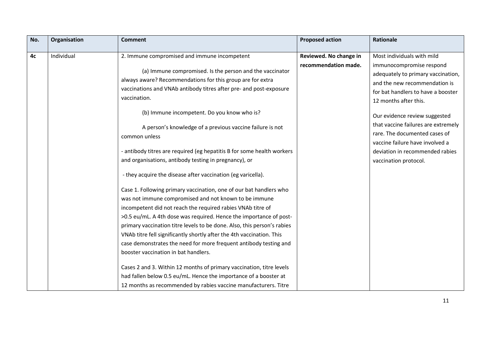| No. | Organisation | <b>Comment</b>                                                          | <b>Proposed action</b> | Rationale                           |
|-----|--------------|-------------------------------------------------------------------------|------------------------|-------------------------------------|
|     |              |                                                                         |                        |                                     |
| 4c  | Individual   | 2. Immune compromised and immune incompetent                            | Reviewed. No change in | Most individuals with mild          |
|     |              |                                                                         | recommendation made.   | immunocompromise respond            |
|     |              | (a) Immune compromised. Is the person and the vaccinator                |                        | adequately to primary vaccination,  |
|     |              | always aware? Recommendations for this group are for extra              |                        | and the new recommendation is       |
|     |              | vaccinations and VNAb antibody titres after pre- and post-exposure      |                        | for bat handlers to have a booster  |
|     |              | vaccination.                                                            |                        | 12 months after this.               |
|     |              | (b) Immune incompetent. Do you know who is?                             |                        | Our evidence review suggested       |
|     |              | A person's knowledge of a previous vaccine failure is not               |                        | that vaccine failures are extremely |
|     |              | common unless                                                           |                        | rare. The documented cases of       |
|     |              |                                                                         |                        | vaccine failure have involved a     |
|     |              | - antibody titres are required (eg hepatitis B for some health workers  |                        | deviation in recommended rabies     |
|     |              | and organisations, antibody testing in pregnancy), or                   |                        | vaccination protocol.               |
|     |              | - they acquire the disease after vaccination (eg varicella).            |                        |                                     |
|     |              | Case 1. Following primary vaccination, one of our bat handlers who      |                        |                                     |
|     |              | was not immune compromised and not known to be immune                   |                        |                                     |
|     |              | incompetent did not reach the required rabies VNAb titre of             |                        |                                     |
|     |              | >0.5 eu/mL. A 4th dose was required. Hence the importance of post-      |                        |                                     |
|     |              | primary vaccination titre levels to be done. Also, this person's rabies |                        |                                     |
|     |              | VNAb titre fell significantly shortly after the 4th vaccination. This   |                        |                                     |
|     |              | case demonstrates the need for more frequent antibody testing and       |                        |                                     |
|     |              | booster vaccination in bat handlers.                                    |                        |                                     |
|     |              | Cases 2 and 3. Within 12 months of primary vaccination, titre levels    |                        |                                     |
|     |              | had fallen below 0.5 eu/mL. Hence the importance of a booster at        |                        |                                     |
|     |              | 12 months as recommended by rabies vaccine manufacturers. Titre         |                        |                                     |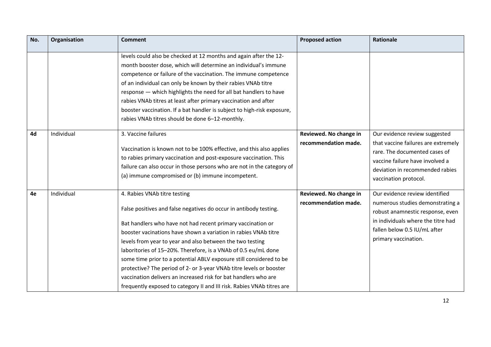| No. | Organisation | <b>Comment</b>                                                                                                                                                                                                                                                                                                                                                                                                                                                                                                                                                                                                                                                | <b>Proposed action</b>                         | <b>Rationale</b>                                                                                                                                                                                     |
|-----|--------------|---------------------------------------------------------------------------------------------------------------------------------------------------------------------------------------------------------------------------------------------------------------------------------------------------------------------------------------------------------------------------------------------------------------------------------------------------------------------------------------------------------------------------------------------------------------------------------------------------------------------------------------------------------------|------------------------------------------------|------------------------------------------------------------------------------------------------------------------------------------------------------------------------------------------------------|
|     |              | levels could also be checked at 12 months and again after the 12-<br>month booster dose, which will determine an individual's immune<br>competence or failure of the vaccination. The immune competence<br>of an individual can only be known by their rabies VNAb titre<br>response - which highlights the need for all bat handlers to have<br>rabies VNAb titres at least after primary vaccination and after<br>booster vaccination. If a bat handler is subject to high-risk exposure,<br>rabies VNAb titres should be done 6-12-monthly.                                                                                                                |                                                |                                                                                                                                                                                                      |
| 4d  | Individual   | 3. Vaccine failures<br>Vaccination is known not to be 100% effective, and this also applies<br>to rabies primary vaccination and post-exposure vaccination. This<br>failure can also occur in those persons who are not in the category of<br>(a) immune compromised or (b) immune incompetent.                                                                                                                                                                                                                                                                                                                                                               | Reviewed. No change in<br>recommendation made. | Our evidence review suggested<br>that vaccine failures are extremely<br>rare. The documented cases of<br>vaccine failure have involved a<br>deviation in recommended rabies<br>vaccination protocol. |
| 4e  | Individual   | 4. Rabies VNAb titre testing<br>False positives and false negatives do occur in antibody testing.<br>Bat handlers who have not had recent primary vaccination or<br>booster vacinations have shown a variation in rabies VNAb titre<br>levels from year to year and also between the two testing<br>laboritories of 15-20%. Therefore, is a VNAb of 0.5 eu/mL done<br>some time prior to a potential ABLV exposure still considered to be<br>protective? The period of 2- or 3-year VNAb titre levels or booster<br>vaccination delivers an increased risk for bat handlers who are<br>frequently exposed to category II and III risk. Rabies VNAb titres are | Reviewed. No change in<br>recommendation made. | Our evidence review identified<br>numerous studies demonstrating a<br>robust anamnestic response, even<br>in individuals where the titre had<br>fallen below 0.5 IU/mL after<br>primary vaccination. |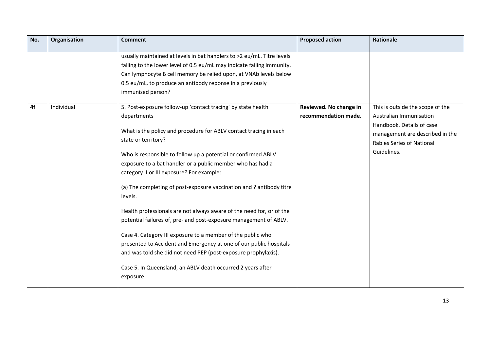| No. | Organisation | <b>Comment</b>                                                                                                                                                                                                                                                                                                                                                                                                                                                                                                                                                                                                                                                                                                                                                                                                                                                         | <b>Proposed action</b>                         | <b>Rationale</b>                                                                                                                                                        |
|-----|--------------|------------------------------------------------------------------------------------------------------------------------------------------------------------------------------------------------------------------------------------------------------------------------------------------------------------------------------------------------------------------------------------------------------------------------------------------------------------------------------------------------------------------------------------------------------------------------------------------------------------------------------------------------------------------------------------------------------------------------------------------------------------------------------------------------------------------------------------------------------------------------|------------------------------------------------|-------------------------------------------------------------------------------------------------------------------------------------------------------------------------|
|     |              | usually maintained at levels in bat handlers to >2 eu/mL. Titre levels<br>falling to the lower level of 0.5 eu/mL may indicate failing immunity.<br>Can lymphocyte B cell memory be relied upon, at VNAb levels below<br>0.5 eu/mL, to produce an antibody reponse in a previously<br>immunised person?                                                                                                                                                                                                                                                                                                                                                                                                                                                                                                                                                                |                                                |                                                                                                                                                                         |
| 4f  | Individual   | 5. Post-exposure follow-up 'contact tracing' by state health<br>departments<br>What is the policy and procedure for ABLV contact tracing in each<br>state or territory?<br>Who is responsible to follow up a potential or confirmed ABLV<br>exposure to a bat handler or a public member who has had a<br>category II or III exposure? For example:<br>(a) The completing of post-exposure vaccination and ? antibody titre<br>levels.<br>Health professionals are not always aware of the need for, or of the<br>potential failures of, pre- and post-exposure management of ABLV.<br>Case 4. Category III exposure to a member of the public who<br>presented to Accident and Emergency at one of our public hospitals<br>and was told she did not need PEP (post-exposure prophylaxis).<br>Case 5. In Queensland, an ABLV death occurred 2 years after<br>exposure. | Reviewed. No change in<br>recommendation made. | This is outside the scope of the<br>Australian Immunisation<br>Handbook. Details of case<br>management are described in the<br>Rabies Series of National<br>Guidelines. |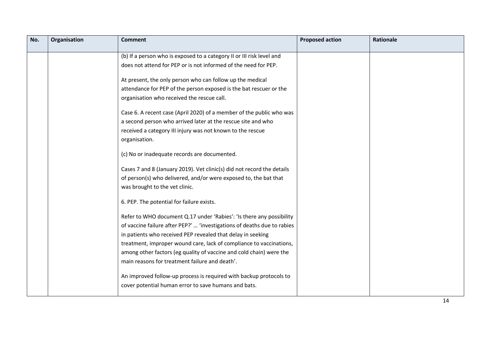| No. | Organisation | <b>Comment</b>                                                          | <b>Proposed action</b> | <b>Rationale</b> |
|-----|--------------|-------------------------------------------------------------------------|------------------------|------------------|
|     |              | (b) If a person who is exposed to a category II or III risk level and   |                        |                  |
|     |              | does not attend for PEP or is not informed of the need for PEP.         |                        |                  |
|     |              | At present, the only person who can follow up the medical               |                        |                  |
|     |              | attendance for PEP of the person exposed is the bat rescuer or the      |                        |                  |
|     |              | organisation who received the rescue call.                              |                        |                  |
|     |              | Case 6. A recent case (April 2020) of a member of the public who was    |                        |                  |
|     |              | a second person who arrived later at the rescue site and who            |                        |                  |
|     |              | received a category III injury was not known to the rescue              |                        |                  |
|     |              | organisation.                                                           |                        |                  |
|     |              | (c) No or inadequate records are documented.                            |                        |                  |
|     |              | Cases 7 and 8 (January 2019). Vet clinic(s) did not record the details  |                        |                  |
|     |              | of person(s) who delivered, and/or were exposed to, the bat that        |                        |                  |
|     |              | was brought to the vet clinic.                                          |                        |                  |
|     |              | 6. PEP. The potential for failure exists.                               |                        |                  |
|     |              | Refer to WHO document Q.17 under 'Rabies': 'Is there any possibility    |                        |                  |
|     |              | of vaccine failure after PEP?'  'investigations of deaths due to rabies |                        |                  |
|     |              | in patients who received PEP revealed that delay in seeking             |                        |                  |
|     |              | treatment, improper wound care, lack of compliance to vaccinations,     |                        |                  |
|     |              | among other factors (eg quality of vaccine and cold chain) were the     |                        |                  |
|     |              | main reasons for treatment failure and death'.                          |                        |                  |
|     |              | An improved follow-up process is required with backup protocols to      |                        |                  |
|     |              | cover potential human error to save humans and bats.                    |                        |                  |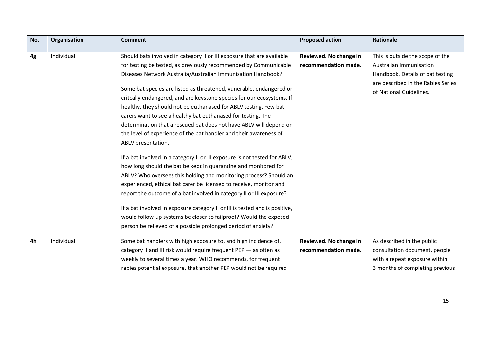| No.            | Organisation | <b>Comment</b>                                                              | <b>Proposed action</b> | <b>Rationale</b>                   |
|----------------|--------------|-----------------------------------------------------------------------------|------------------------|------------------------------------|
| 4g             | Individual   | Should bats involved in category II or III exposure that are available      | Reviewed. No change in | This is outside the scope of the   |
|                |              | for testing be tested, as previously recommended by Communicable            | recommendation made.   | Australian Immunisation            |
|                |              | Diseases Network Australia/Australian Immunisation Handbook?                |                        | Handbook. Details of bat testing   |
|                |              |                                                                             |                        | are described in the Rabies Series |
|                |              | Some bat species are listed as threatened, vunerable, endangered or         |                        | of National Guidelines.            |
|                |              | critcally endangered, and are keystone species for our ecosystems. If       |                        |                                    |
|                |              | healthy, they should not be euthanased for ABLV testing. Few bat            |                        |                                    |
|                |              | carers want to see a healthy bat euthanased for testing. The                |                        |                                    |
|                |              | determination that a rescued bat does not have ABLV will depend on          |                        |                                    |
|                |              | the level of experience of the bat handler and their awareness of           |                        |                                    |
|                |              | ABLV presentation.                                                          |                        |                                    |
|                |              | If a bat involved in a category II or III exposure is not tested for ABLV,  |                        |                                    |
|                |              | how long should the bat be kept in quarantine and monitored for             |                        |                                    |
|                |              | ABLV? Who oversees this holding and monitoring process? Should an           |                        |                                    |
|                |              | experienced, ethical bat carer be licensed to receive, monitor and          |                        |                                    |
|                |              | report the outcome of a bat involved in category II or III exposure?        |                        |                                    |
|                |              | If a bat involved in exposure category II or III is tested and is positive, |                        |                                    |
|                |              | would follow-up systems be closer to failproof? Would the exposed           |                        |                                    |
|                |              | person be relieved of a possible prolonged period of anxiety?               |                        |                                    |
| 4 <sub>h</sub> | Individual   | Some bat handlers with high exposure to, and high incidence of,             | Reviewed. No change in | As described in the public         |
|                |              | category II and III risk would require frequent PEP - as often as           | recommendation made.   | consultation document, people      |
|                |              | weekly to several times a year. WHO recommends, for frequent                |                        | with a repeat exposure within      |
|                |              | rabies potential exposure, that another PEP would not be required           |                        | 3 months of completing previous    |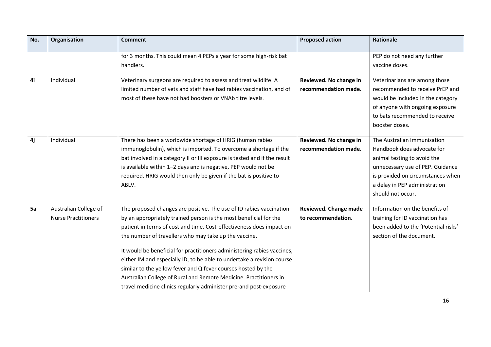| No. | Organisation                                        | <b>Comment</b>                                                                                                                                                                                                                                                                                                                                                                                                                                                                                                                                                                                                                             | <b>Proposed action</b>                         | <b>Rationale</b>                                                                                                                                                                                                        |
|-----|-----------------------------------------------------|--------------------------------------------------------------------------------------------------------------------------------------------------------------------------------------------------------------------------------------------------------------------------------------------------------------------------------------------------------------------------------------------------------------------------------------------------------------------------------------------------------------------------------------------------------------------------------------------------------------------------------------------|------------------------------------------------|-------------------------------------------------------------------------------------------------------------------------------------------------------------------------------------------------------------------------|
|     |                                                     | for 3 months. This could mean 4 PEPs a year for some high-risk bat<br>handlers.                                                                                                                                                                                                                                                                                                                                                                                                                                                                                                                                                            |                                                | PEP do not need any further<br>vaccine doses.                                                                                                                                                                           |
| 4i  | Individual                                          | Veterinary surgeons are required to assess and treat wildlife. A<br>limited number of vets and staff have had rabies vaccination, and of<br>most of these have not had boosters or VNAb titre levels.                                                                                                                                                                                                                                                                                                                                                                                                                                      | Reviewed. No change in<br>recommendation made. | Veterinarians are among those<br>recommended to receive PrEP and<br>would be included in the category<br>of anyone with ongoing exposure<br>to bats recommended to receive<br>booster doses.                            |
| 4j  | Individual                                          | There has been a worldwide shortage of HRIG (human rabies<br>immunoglobulin), which is imported. To overcome a shortage if the<br>bat involved in a category II or III exposure is tested and if the result<br>is available within 1-2 days and is negative, PEP would not be<br>required. HRIG would then only be given if the bat is positive to<br>ABLV.                                                                                                                                                                                                                                                                                | Reviewed. No change in<br>recommendation made. | The Australian Immunisation<br>Handbook does advocate for<br>animal testing to avoid the<br>unnecessary use of PEP. Guidance<br>is provided on circumstances when<br>a delay in PEP administration<br>should not occur. |
| 5a  | Australian College of<br><b>Nurse Practitioners</b> | The proposed changes are positive. The use of ID rabies vaccination<br>by an appropriately trained person is the most beneficial for the<br>patient in terms of cost and time. Cost-effectiveness does impact on<br>the number of travellers who may take up the vaccine.<br>It would be beneficial for practitioners administering rabies vaccines,<br>either IM and especially ID, to be able to undertake a revision course<br>similar to the yellow fever and Q fever courses hosted by the<br>Australian College of Rural and Remote Medicine. Practitioners in<br>travel medicine clinics regularly administer pre-and post-exposure | Reviewed. Change made<br>to recommendation.    | Information on the benefits of<br>training for ID vaccination has<br>been added to the 'Potential risks'<br>section of the document.                                                                                    |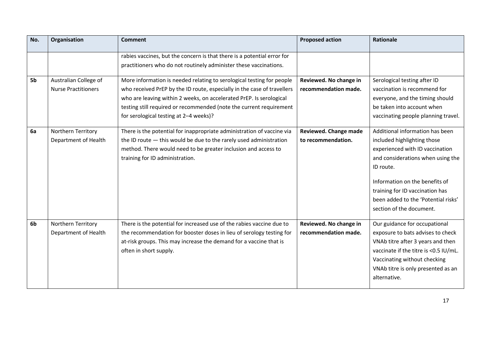| No. | Organisation                                        | <b>Comment</b>                                                                                                                                                                                                                                                                                                                           | <b>Proposed action</b>                         | <b>Rationale</b>                                                                                                                                                                                                                                                                            |
|-----|-----------------------------------------------------|------------------------------------------------------------------------------------------------------------------------------------------------------------------------------------------------------------------------------------------------------------------------------------------------------------------------------------------|------------------------------------------------|---------------------------------------------------------------------------------------------------------------------------------------------------------------------------------------------------------------------------------------------------------------------------------------------|
|     |                                                     | rabies vaccines, but the concern is that there is a potential error for<br>practitioners who do not routinely administer these vaccinations.                                                                                                                                                                                             |                                                |                                                                                                                                                                                                                                                                                             |
| 5b  | Australian College of<br><b>Nurse Practitioners</b> | More information is needed relating to serological testing for people<br>who received PrEP by the ID route, especially in the case of travellers<br>who are leaving within 2 weeks, on accelerated PrEP. Is serological<br>testing still required or recommended (note the current requirement<br>for serological testing at 2-4 weeks)? | Reviewed. No change in<br>recommendation made. | Serological testing after ID<br>vaccination is recommend for<br>everyone, and the timing should<br>be taken into account when<br>vaccinating people planning travel.                                                                                                                        |
| 6a  | Northern Territory<br>Department of Health          | There is the potential for inappropriate administration of vaccine via<br>the ID route $-$ this would be due to the rarely used administration<br>method. There would need to be greater inclusion and access to<br>training for ID administration.                                                                                      | Reviewed. Change made<br>to recommendation.    | Additional information has been<br>included highlighting those<br>experienced with ID vaccination<br>and considerations when using the<br>ID route.<br>Information on the benefits of<br>training for ID vaccination has<br>been added to the 'Potential risks'<br>section of the document. |
| 6b  | Northern Territory<br>Department of Health          | There is the potential for increased use of the rabies vaccine due to<br>the recommendation for booster doses in lieu of serology testing for<br>at-risk groups. This may increase the demand for a vaccine that is<br>often in short supply.                                                                                            | Reviewed. No change in<br>recommendation made. | Our guidance for occupational<br>exposure to bats advises to check<br>VNAb titre after 3 years and then<br>vaccinate if the titre is <0.5 IU/mL.<br>Vaccinating without checking<br>VNAb titre is only presented as an<br>alternative.                                                      |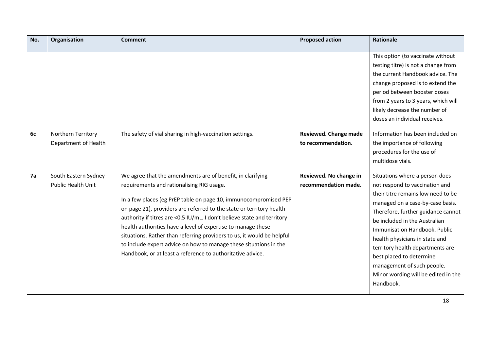| No. | Organisation                                      | <b>Comment</b>                                                                                                                                                                                                                                                                                                                                                                                                                                                                                                                                | <b>Proposed action</b>                         | <b>Rationale</b>                                                                                                                                                                                                                                                                                                                                                                                                                       |
|-----|---------------------------------------------------|-----------------------------------------------------------------------------------------------------------------------------------------------------------------------------------------------------------------------------------------------------------------------------------------------------------------------------------------------------------------------------------------------------------------------------------------------------------------------------------------------------------------------------------------------|------------------------------------------------|----------------------------------------------------------------------------------------------------------------------------------------------------------------------------------------------------------------------------------------------------------------------------------------------------------------------------------------------------------------------------------------------------------------------------------------|
|     |                                                   |                                                                                                                                                                                                                                                                                                                                                                                                                                                                                                                                               |                                                | This option (to vaccinate without<br>testing titre) is not a change from<br>the current Handbook advice. The<br>change proposed is to extend the<br>period between booster doses<br>from 2 years to 3 years, which will<br>likely decrease the number of<br>doses an individual receives.                                                                                                                                              |
| 6c  | Northern Territory<br>Department of Health        | The safety of vial sharing in high-vaccination settings.                                                                                                                                                                                                                                                                                                                                                                                                                                                                                      | Reviewed. Change made<br>to recommendation.    | Information has been included on<br>the importance of following<br>procedures for the use of                                                                                                                                                                                                                                                                                                                                           |
| 7a  |                                                   | We agree that the amendments are of benefit, in clarifying                                                                                                                                                                                                                                                                                                                                                                                                                                                                                    |                                                | multidose vials.                                                                                                                                                                                                                                                                                                                                                                                                                       |
|     | South Eastern Sydney<br><b>Public Health Unit</b> | requirements and rationalising RIG usage.<br>In a few places (eg PrEP table on page 10, immunocompromised PEP<br>on page 21), providers are referred to the state or territory health<br>authority if titres are <0.5 IU/mL. I don't believe state and territory<br>health authorities have a level of expertise to manage these<br>situations. Rather than referring providers to us, it would be helpful<br>to include expert advice on how to manage these situations in the<br>Handbook, or at least a reference to authoritative advice. | Reviewed. No change in<br>recommendation made. | Situations where a person does<br>not respond to vaccination and<br>their titre remains low need to be<br>managed on a case-by-case basis.<br>Therefore, further guidance cannot<br>be included in the Australian<br>Immunisation Handbook. Public<br>health physicians in state and<br>territory health departments are<br>best placed to determine<br>management of such people.<br>Minor wording will be edited in the<br>Handbook. |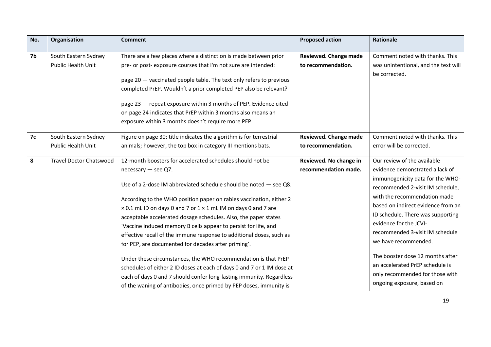| No.       | Organisation                                      | <b>Comment</b>                                                                                                                                                                                                                                                                                                                                                                                                                                                                                                                                                                                                                                                                                                                                                                                                                                                    | <b>Proposed action</b>                             | <b>Rationale</b>                                                                                                                                                                                                                                                                                                                                                                                                                                                               |
|-----------|---------------------------------------------------|-------------------------------------------------------------------------------------------------------------------------------------------------------------------------------------------------------------------------------------------------------------------------------------------------------------------------------------------------------------------------------------------------------------------------------------------------------------------------------------------------------------------------------------------------------------------------------------------------------------------------------------------------------------------------------------------------------------------------------------------------------------------------------------------------------------------------------------------------------------------|----------------------------------------------------|--------------------------------------------------------------------------------------------------------------------------------------------------------------------------------------------------------------------------------------------------------------------------------------------------------------------------------------------------------------------------------------------------------------------------------------------------------------------------------|
| 7b        | South Eastern Sydney<br><b>Public Health Unit</b> | There are a few places where a distinction is made between prior<br>pre- or post-exposure courses that I'm not sure are intended:<br>page 20 - vaccinated people table. The text only refers to previous<br>completed PrEP. Wouldn't a prior completed PEP also be relevant?<br>page 23 - repeat exposure within 3 months of PEP. Evidence cited<br>on page 24 indicates that PrEP within 3 months also means an<br>exposure within 3 months doesn't require more PEP.                                                                                                                                                                                                                                                                                                                                                                                            | <b>Reviewed. Change made</b><br>to recommendation. | Comment noted with thanks. This<br>was unintentional, and the text will<br>be corrected.                                                                                                                                                                                                                                                                                                                                                                                       |
| <b>7c</b> | South Eastern Sydney<br>Public Health Unit        | Figure on page 30: title indicates the algorithm is for terrestrial<br>animals; however, the top box in category III mentions bats.                                                                                                                                                                                                                                                                                                                                                                                                                                                                                                                                                                                                                                                                                                                               | Reviewed. Change made<br>to recommendation.        | Comment noted with thanks. This<br>error will be corrected.                                                                                                                                                                                                                                                                                                                                                                                                                    |
| 8         | <b>Travel Doctor Chatswood</b>                    | 12-month boosters for accelerated schedules should not be<br>necessary $-$ see Q7.<br>Use of a 2-dose IM abbreviated schedule should be noted $-$ see Q8.<br>According to the WHO position paper on rabies vaccination, either 2<br>× 0.1 mL ID on days 0 and 7 or 1 × 1 mL IM on days 0 and 7 are<br>acceptable accelerated dosage schedules. Also, the paper states<br>'Vaccine induced memory B cells appear to persist for life, and<br>effective recall of the immune response to additional doses, such as<br>for PEP, are documented for decades after priming'.<br>Under these circumstances, the WHO recommendation is that PrEP<br>schedules of either 2 ID doses at each of days 0 and 7 or 1 IM dose at<br>each of days 0 and 7 should confer long-lasting immunity. Regardless<br>of the waning of antibodies, once primed by PEP doses, immunity is | Reviewed. No change in<br>recommendation made.     | Our review of the available<br>evidence demonstrated a lack of<br>immunogenicity data for the WHO-<br>recommended 2-visit IM schedule,<br>with the recommendation made<br>based on indirect evidence from an<br>ID schedule. There was supporting<br>evidence for the JCVI-<br>recommended 3-visit IM schedule<br>we have recommended.<br>The booster dose 12 months after<br>an accelerated PrEP schedule is<br>only recommended for those with<br>ongoing exposure, based on |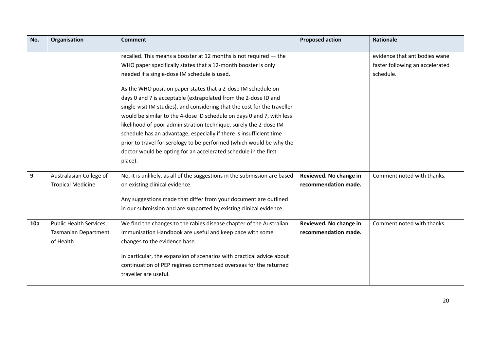| No. | Organisation                                                        | <b>Comment</b>                                                                                                                                                                                                                                                                                                                                                                                                                                                                                                                                                                                                                                                                                                                                                                 | <b>Proposed action</b>                         | <b>Rationale</b>                                                              |
|-----|---------------------------------------------------------------------|--------------------------------------------------------------------------------------------------------------------------------------------------------------------------------------------------------------------------------------------------------------------------------------------------------------------------------------------------------------------------------------------------------------------------------------------------------------------------------------------------------------------------------------------------------------------------------------------------------------------------------------------------------------------------------------------------------------------------------------------------------------------------------|------------------------------------------------|-------------------------------------------------------------------------------|
|     |                                                                     | recalled. This means a booster at 12 months is not required - the<br>WHO paper specifically states that a 12-month booster is only<br>needed if a single-dose IM schedule is used.<br>As the WHO position paper states that a 2-dose IM schedule on<br>days 0 and 7 is acceptable (extrapolated from the 2-dose ID and<br>single-visit IM studies), and considering that the cost for the traveller<br>would be similar to the 4-dose ID schedule on days 0 and 7, with less<br>likelihood of poor administration technique, surely the 2-dose IM<br>schedule has an advantage, especially if there is insufficient time<br>prior to travel for serology to be performed (which would be why the<br>doctor would be opting for an accelerated schedule in the first<br>place). |                                                | evidence that antibodies wane<br>faster following an accelerated<br>schedule. |
| 9   | Australasian College of<br><b>Tropical Medicine</b>                 | No, it is unlikely, as all of the suggestions in the submission are based<br>on existing clinical evidence.<br>Any suggestions made that differ from your document are outlined<br>in our submission and are supported by existing clinical evidence.                                                                                                                                                                                                                                                                                                                                                                                                                                                                                                                          | Reviewed. No change in<br>recommendation made. | Comment noted with thanks.                                                    |
| 10a | Public Health Services,<br><b>Tasmanian Department</b><br>of Health | We find the changes to the rabies disease chapter of the Australian<br>Immunisation Handbook are useful and keep pace with some<br>changes to the evidence base.<br>In particular, the expansion of scenarios with practical advice about<br>continuation of PEP regimes commenced overseas for the returned<br>traveller are useful.                                                                                                                                                                                                                                                                                                                                                                                                                                          | Reviewed. No change in<br>recommendation made. | Comment noted with thanks.                                                    |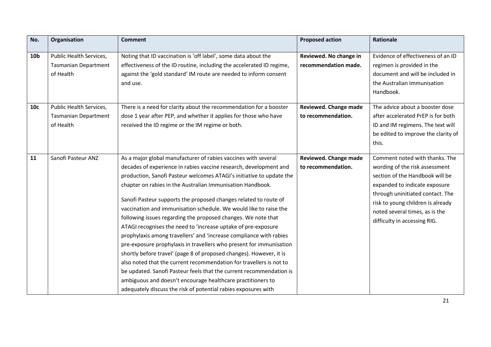| No.             | Organisation                | <b>Comment</b>                                                        | <b>Proposed action</b> | <b>Rationale</b>                    |
|-----------------|-----------------------------|-----------------------------------------------------------------------|------------------------|-------------------------------------|
|                 |                             |                                                                       |                        | Evidence of effectiveness of an ID  |
| 10 <sub>b</sub> | Public Health Services,     | Noting that ID vaccination is 'off label', some data about the        | Reviewed. No change in |                                     |
|                 | <b>Tasmanian Department</b> | effectiveness of the ID routine, including the accelerated ID regime, | recommendation made.   | regimen is provided in the          |
|                 | of Health                   | against the 'gold standard' IM route are needed to inform consent     |                        | document and will be included in    |
|                 |                             | and use.                                                              |                        | the Australian Immunisation         |
|                 |                             |                                                                       |                        | Handbook.                           |
| 10c             | Public Health Services,     | There is a need for clarity about the recommendation for a booster    | Reviewed. Change made  | The advice about a booster dose     |
|                 | <b>Tasmanian Department</b> | dose 1 year after PEP, and whether it applies for those who have      | to recommendation.     | after accelerated PrEP is for both  |
|                 | of Health                   | received the ID regime or the IM regime or both.                      |                        | ID and IM regimens. The text will   |
|                 |                             |                                                                       |                        | be edited to improve the clarity of |
|                 |                             |                                                                       |                        | this.                               |
|                 |                             |                                                                       |                        | Comment noted with thanks. The      |
| 11              | Sanofi Pasteur ANZ          | As a major global manufacturer of rabies vaccines with several        | Reviewed. Change made  |                                     |
|                 |                             | decades of experience in rabies vaccine research, development and     | to recommendation.     | wording of the risk assessment      |
|                 |                             | production, Sanofi Pasteur welcomes ATAGI's initiative to update the  |                        | section of the Handbook will be     |
|                 |                             | chapter on rabies in the Australian Immunisation Handbook.            |                        | expanded to indicate exposure       |
|                 |                             | Sanofi Pasteur supports the proposed changes related to route of      |                        | through uninitiated contact. The    |
|                 |                             | vaccination and immunisation schedule. We would like to raise the     |                        | risk to young children is already   |
|                 |                             | following issues regarding the proposed changes. We note that         |                        | noted several times, as is the      |
|                 |                             |                                                                       |                        | difficulty in accessing RIG.        |
|                 |                             | ATAGI recognises the need to 'increase uptake of pre-exposure         |                        |                                     |
|                 |                             | prophylaxis among travellers' and 'increase compliance with rabies    |                        |                                     |
|                 |                             | pre-exposure prophylaxis in travellers who present for immunisation   |                        |                                     |
|                 |                             | shortly before travel' (page 8 of proposed changes). However, it is   |                        |                                     |
|                 |                             | also noted that the current recommendation for travellers is not to   |                        |                                     |
|                 |                             | be updated. Sanofi Pasteur feels that the current recommendation is   |                        |                                     |
|                 |                             | ambiguous and doesn't encourage healthcare practitioners to           |                        |                                     |
|                 |                             | adequately discuss the risk of potential rabies exposures with        |                        |                                     |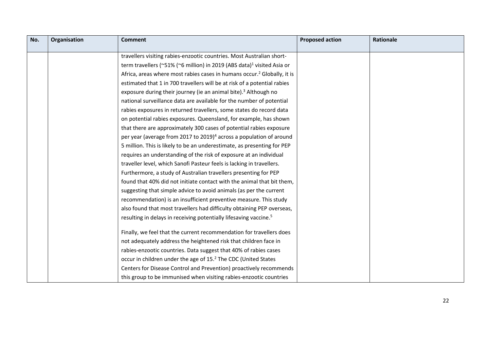| No. | Organisation | <b>Comment</b>                                                                      | <b>Proposed action</b> | Rationale |
|-----|--------------|-------------------------------------------------------------------------------------|------------------------|-----------|
|     |              |                                                                                     |                        |           |
|     |              | travellers visiting rabies-enzootic countries. Most Australian short-               |                        |           |
|     |              | term travellers (~51% (~6 million) in 2019 (ABS data) <sup>1</sup> visited Asia or  |                        |           |
|     |              | Africa, areas where most rabies cases in humans occur. <sup>2</sup> Globally, it is |                        |           |
|     |              | estimated that 1 in 700 travellers will be at risk of a potential rabies            |                        |           |
|     |              | exposure during their journey (ie an animal bite). <sup>3</sup> Although no         |                        |           |
|     |              | national surveillance data are available for the number of potential                |                        |           |
|     |              | rabies exposures in returned travellers, some states do record data                 |                        |           |
|     |              | on potential rabies exposures. Queensland, for example, has shown                   |                        |           |
|     |              | that there are approximately 300 cases of potential rabies exposure                 |                        |           |
|     |              | per year (average from 2017 to 2019) <sup>4</sup> across a population of around     |                        |           |
|     |              | 5 million. This is likely to be an underestimate, as presenting for PEP             |                        |           |
|     |              | requires an understanding of the risk of exposure at an individual                  |                        |           |
|     |              | traveller level, which Sanofi Pasteur feels is lacking in travellers.               |                        |           |
|     |              | Furthermore, a study of Australian travellers presenting for PEP                    |                        |           |
|     |              | found that 40% did not initiate contact with the animal that bit them,              |                        |           |
|     |              | suggesting that simple advice to avoid animals (as per the current                  |                        |           |
|     |              | recommendation) is an insufficient preventive measure. This study                   |                        |           |
|     |              | also found that most travellers had difficulty obtaining PEP overseas,              |                        |           |
|     |              | resulting in delays in receiving potentially lifesaving vaccine. <sup>5</sup>       |                        |           |
|     |              |                                                                                     |                        |           |
|     |              | Finally, we feel that the current recommendation for travellers does                |                        |           |
|     |              | not adequately address the heightened risk that children face in                    |                        |           |
|     |              | rabies-enzootic countries. Data suggest that 40% of rabies cases                    |                        |           |
|     |              | occur in children under the age of 15. <sup>2</sup> The CDC (United States          |                        |           |
|     |              | Centers for Disease Control and Prevention) proactively recommends                  |                        |           |
|     |              | this group to be immunised when visiting rabies-enzootic countries                  |                        |           |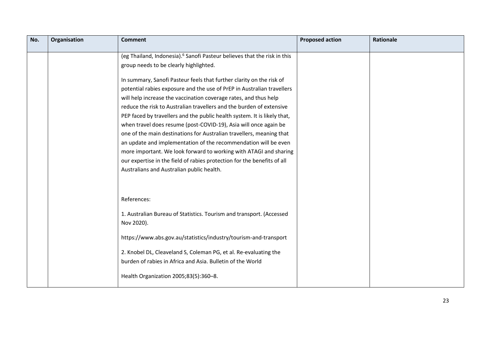| No. | Organisation | <b>Comment</b>                                                                                                                                                                                                                                                                                                                                                                                                                                                                                                                                                                                                                                                                                                                                                                     | <b>Proposed action</b> | <b>Rationale</b> |
|-----|--------------|------------------------------------------------------------------------------------------------------------------------------------------------------------------------------------------------------------------------------------------------------------------------------------------------------------------------------------------------------------------------------------------------------------------------------------------------------------------------------------------------------------------------------------------------------------------------------------------------------------------------------------------------------------------------------------------------------------------------------------------------------------------------------------|------------------------|------------------|
|     |              | (eg Thailand, Indonesia). <sup>6</sup> Sanofi Pasteur believes that the risk in this<br>group needs to be clearly highlighted.                                                                                                                                                                                                                                                                                                                                                                                                                                                                                                                                                                                                                                                     |                        |                  |
|     |              | In summary, Sanofi Pasteur feels that further clarity on the risk of<br>potential rabies exposure and the use of PrEP in Australian travellers<br>will help increase the vaccination coverage rates, and thus help<br>reduce the risk to Australian travellers and the burden of extensive<br>PEP faced by travellers and the public health system. It is likely that,<br>when travel does resume (post-COVID-19), Asia will once again be<br>one of the main destinations for Australian travellers, meaning that<br>an update and implementation of the recommendation will be even<br>more important. We look forward to working with ATAGI and sharing<br>our expertise in the field of rabies protection for the benefits of all<br>Australians and Australian public health. |                        |                  |
|     |              | References:<br>1. Australian Bureau of Statistics. Tourism and transport. (Accessed<br>Nov 2020).<br>https://www.abs.gov.au/statistics/industry/tourism-and-transport<br>2. Knobel DL, Cleaveland S, Coleman PG, et al. Re-evaluating the<br>burden of rabies in Africa and Asia. Bulletin of the World<br>Health Organization 2005;83(5):360-8.                                                                                                                                                                                                                                                                                                                                                                                                                                   |                        |                  |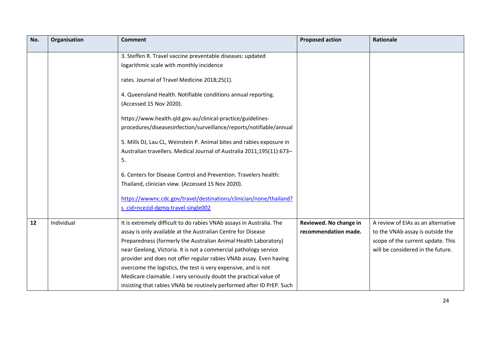| No. | Organisation | <b>Comment</b>                                                        | <b>Proposed action</b> | <b>Rationale</b>                   |
|-----|--------------|-----------------------------------------------------------------------|------------------------|------------------------------------|
|     |              | 3. Steffen R. Travel vaccine preventable diseases: updated            |                        |                                    |
|     |              | logarithmic scale with monthly incidence                              |                        |                                    |
|     |              |                                                                       |                        |                                    |
|     |              | rates. Journal of Travel Medicine 2018;25(1).                         |                        |                                    |
|     |              | 4. Queensland Health. Notifiable conditions annual reporting.         |                        |                                    |
|     |              | (Accessed 15 Nov 2020).                                               |                        |                                    |
|     |              |                                                                       |                        |                                    |
|     |              | https://www.health.qld.gov.au/clinical-practice/guidelines-           |                        |                                    |
|     |              | procedures/diseasesinfection/surveillance/reports/notifiable/annual   |                        |                                    |
|     |              | 5. Mills DJ, Lau CL, Weinstein P. Animal bites and rabies exposure in |                        |                                    |
|     |              | Australian travellers. Medical Journal of Australia 2011;195(11):673- |                        |                                    |
|     |              | 5.                                                                    |                        |                                    |
|     |              |                                                                       |                        |                                    |
|     |              | 6. Centers for Disease Control and Prevention. Travelers health:      |                        |                                    |
|     |              | Thailand, clinician view. (Accessed 15 Nov 2020).                     |                        |                                    |
|     |              |                                                                       |                        |                                    |
|     |              | https://wwwnc.cdc.gov/travel/destinations/clinician/none/thailand?    |                        |                                    |
|     |              | s cid=ncezid-dgmq-travel-single002                                    |                        |                                    |
| 12  | Individual   | It is extremely difficult to do rabies VNAb assays in Australia. The  | Reviewed. No change in | A review of EIAs as an alternative |
|     |              | assay is only available at the Australian Centre for Disease          | recommendation made.   | to the VNAb assay is outside the   |
|     |              | Preparedness (formerly the Australian Animal Health Laboratory)       |                        | scope of the current update. This  |
|     |              | near Geelong, Victoria. It is not a commercial pathology service      |                        | will be considered in the future.  |
|     |              | provider and does not offer regular rabies VNAb assay. Even having    |                        |                                    |
|     |              | overcome the logistics, the test is very expensive, and is not        |                        |                                    |
|     |              | Medicare claimable. I very seriously doubt the practical value of     |                        |                                    |
|     |              | insisting that rabies VNAb be routinely performed after ID PrEP. Such |                        |                                    |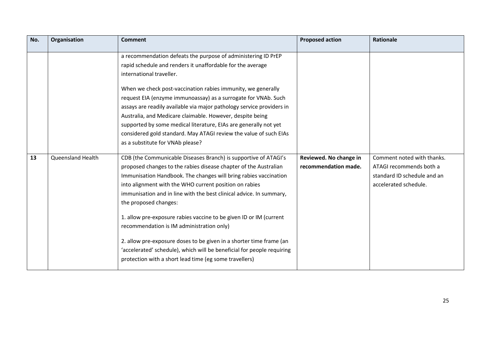| No. | Organisation             | <b>Comment</b>                                                                                                                                                                                                                                                                                                                                                                                                                                                                                                                                                                                                                                                                                                                                                                                                                                                                    | <b>Proposed action</b>                         | <b>Rationale</b>                                                                                              |
|-----|--------------------------|-----------------------------------------------------------------------------------------------------------------------------------------------------------------------------------------------------------------------------------------------------------------------------------------------------------------------------------------------------------------------------------------------------------------------------------------------------------------------------------------------------------------------------------------------------------------------------------------------------------------------------------------------------------------------------------------------------------------------------------------------------------------------------------------------------------------------------------------------------------------------------------|------------------------------------------------|---------------------------------------------------------------------------------------------------------------|
| 13  | <b>Queensland Health</b> | a recommendation defeats the purpose of administering ID PrEP<br>rapid schedule and renders it unaffordable for the average<br>international traveller.<br>When we check post-vaccination rabies immunity, we generally<br>request EIA (enzyme immunoassay) as a surrogate for VNAb. Such<br>assays are readily available via major pathology service providers in<br>Australia, and Medicare claimable. However, despite being<br>supported by some medical literature, EIAs are generally not yet<br>considered gold standard. May ATAGI review the value of such EIAs<br>as a substitute for VNAb please?<br>CDB (the Communicable Diseases Branch) is supportive of ATAGI's<br>proposed changes to the rabies disease chapter of the Australian<br>Immunisation Handbook. The changes will bring rabies vaccination<br>into alignment with the WHO current position on rabies | Reviewed. No change in<br>recommendation made. | Comment noted with thanks.<br>ATAGI recommends both a<br>standard ID schedule and an<br>accelerated schedule. |
|     |                          | immunisation and in line with the best clinical advice. In summary,<br>the proposed changes:<br>1. allow pre-exposure rabies vaccine to be given ID or IM (current<br>recommendation is IM administration only)<br>2. allow pre-exposure doses to be given in a shorter time frame (an<br>'accelerated' schedule), which will be beneficial for people requiring<br>protection with a short lead time (eg some travellers)                                                                                                                                                                                                                                                                                                                                                                                                                                                        |                                                |                                                                                                               |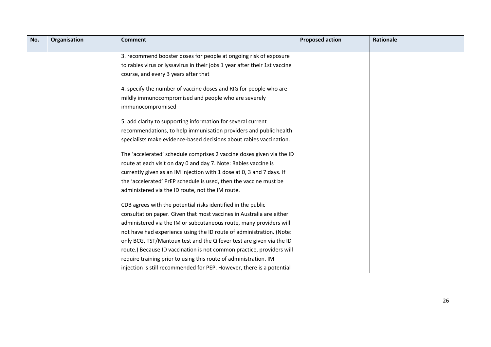| No. | Organisation | <b>Comment</b>                                                             | <b>Proposed action</b> | <b>Rationale</b> |
|-----|--------------|----------------------------------------------------------------------------|------------------------|------------------|
|     |              | 3. recommend booster doses for people at ongoing risk of exposure          |                        |                  |
|     |              | to rabies virus or lyssavirus in their jobs 1 year after their 1st vaccine |                        |                  |
|     |              | course, and every 3 years after that                                       |                        |                  |
|     |              |                                                                            |                        |                  |
|     |              | 4. specify the number of vaccine doses and RIG for people who are          |                        |                  |
|     |              | mildly immunocompromised and people who are severely                       |                        |                  |
|     |              | immunocompromised                                                          |                        |                  |
|     |              | 5. add clarity to supporting information for several current               |                        |                  |
|     |              | recommendations, to help immunisation providers and public health          |                        |                  |
|     |              | specialists make evidence-based decisions about rabies vaccination.        |                        |                  |
|     |              |                                                                            |                        |                  |
|     |              | The 'accelerated' schedule comprises 2 vaccine doses given via the ID      |                        |                  |
|     |              | route at each visit on day 0 and day 7. Note: Rabies vaccine is            |                        |                  |
|     |              | currently given as an IM injection with 1 dose at 0, 3 and 7 days. If      |                        |                  |
|     |              | the 'accelerated' PrEP schedule is used, then the vaccine must be          |                        |                  |
|     |              | administered via the ID route, not the IM route.                           |                        |                  |
|     |              | CDB agrees with the potential risks identified in the public               |                        |                  |
|     |              | consultation paper. Given that most vaccines in Australia are either       |                        |                  |
|     |              | administered via the IM or subcutaneous route, many providers will         |                        |                  |
|     |              | not have had experience using the ID route of administration. (Note:       |                        |                  |
|     |              | only BCG, TST/Mantoux test and the Q fever test are given via the ID       |                        |                  |
|     |              | route.) Because ID vaccination is not common practice, providers will      |                        |                  |
|     |              | require training prior to using this route of administration. IM           |                        |                  |
|     |              | injection is still recommended for PEP. However, there is a potential      |                        |                  |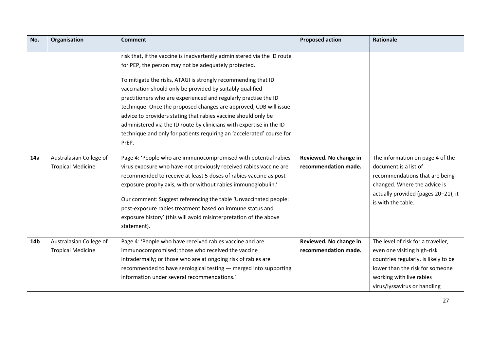| No. | Organisation                                        | <b>Comment</b>                                                                                                                                                                                                                                                                                                                                                                                                                                                                                                                                                                                                                     | <b>Proposed action</b>                         | Rationale                                                                                                                                                                                                |
|-----|-----------------------------------------------------|------------------------------------------------------------------------------------------------------------------------------------------------------------------------------------------------------------------------------------------------------------------------------------------------------------------------------------------------------------------------------------------------------------------------------------------------------------------------------------------------------------------------------------------------------------------------------------------------------------------------------------|------------------------------------------------|----------------------------------------------------------------------------------------------------------------------------------------------------------------------------------------------------------|
|     |                                                     | risk that, if the vaccine is inadvertently administered via the ID route<br>for PEP, the person may not be adequately protected.<br>To mitigate the risks, ATAGI is strongly recommending that ID<br>vaccination should only be provided by suitably qualified<br>practitioners who are experienced and regularly practise the ID<br>technique. Once the proposed changes are approved, CDB will issue<br>advice to providers stating that rabies vaccine should only be<br>administered via the ID route by clinicians with expertise in the ID<br>technique and only for patients requiring an 'accelerated' course for<br>PrEP. |                                                |                                                                                                                                                                                                          |
| 14a | Australasian College of<br><b>Tropical Medicine</b> | Page 4: 'People who are immunocompromised with potential rabies<br>virus exposure who have not previously received rabies vaccine are<br>recommended to receive at least 5 doses of rabies vaccine as post-<br>exposure prophylaxis, with or without rabies immunoglobulin.'<br>Our comment: Suggest referencing the table 'Unvaccinated people:<br>post-exposure rabies treatment based on immune status and<br>exposure history' (this will avoid misinterpretation of the above<br>statement).                                                                                                                                  | Reviewed. No change in<br>recommendation made. | The information on page 4 of the<br>document is a list of<br>recommendations that are being<br>changed. Where the advice is<br>actually provided (pages 20-21), it<br>is with the table.                 |
| 14b | Australasian College of<br><b>Tropical Medicine</b> | Page 4: 'People who have received rabies vaccine and are<br>immunocompromised; those who received the vaccine<br>intradermally; or those who are at ongoing risk of rabies are<br>recommended to have serological testing - merged into supporting<br>information under several recommendations.'                                                                                                                                                                                                                                                                                                                                  | Reviewed. No change in<br>recommendation made. | The level of risk for a traveller,<br>even one visiting high-risk<br>countries regularly, is likely to be<br>lower than the risk for someone<br>working with live rabies<br>virus/lyssavirus or handling |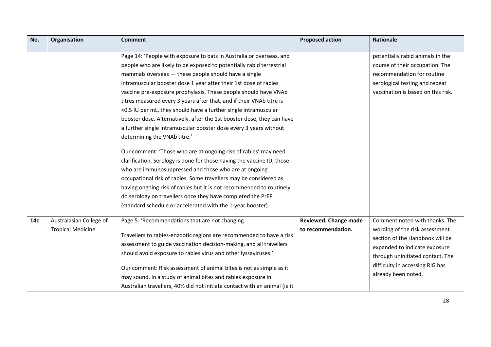| No. | Organisation             | <b>Comment</b>                                                            | <b>Proposed action</b>       | <b>Rationale</b>                   |
|-----|--------------------------|---------------------------------------------------------------------------|------------------------------|------------------------------------|
|     |                          | Page 14: 'People with exposure to bats in Australia or overseas, and      |                              | potentially rabid animals in the   |
|     |                          | people who are likely to be exposed to potentially rabid terrestrial      |                              | course of their occupation. The    |
|     |                          | mammals overseas - these people should have a single                      |                              | recommendation for routine         |
|     |                          | intramuscular booster dose 1 year after their 1st dose of rabies          |                              | serological testing and repeat     |
|     |                          | vaccine pre-exposure prophylaxis. These people should have VNAb           |                              | vaccination is based on this risk. |
|     |                          | titres measured every 3 years after that, and if their VNAb titre is      |                              |                                    |
|     |                          | <0.5 IU per mL, they should have a further single intramuscular           |                              |                                    |
|     |                          | booster dose. Alternatively, after the 1st booster dose, they can have    |                              |                                    |
|     |                          | a further single intramuscular booster dose every 3 years without         |                              |                                    |
|     |                          | determining the VNAb titre.'                                              |                              |                                    |
|     |                          |                                                                           |                              |                                    |
|     |                          | Our comment: 'Those who are at ongoing risk of rabies' may need           |                              |                                    |
|     |                          | clarification. Serology is done for those having the vaccine ID, those    |                              |                                    |
|     |                          | who are immunosuppressed and those who are at ongoing                     |                              |                                    |
|     |                          | occupational risk of rabies. Some travellers may be considered as         |                              |                                    |
|     |                          | having ongoing risk of rabies but it is not recommended to routinely      |                              |                                    |
|     |                          | do serology on travellers once they have completed the PrEP               |                              |                                    |
|     |                          | (standard schedule or accelerated with the 1-year booster).               |                              |                                    |
| 14c | Australasian College of  | Page 5: 'Recommendations that are not changing.                           | <b>Reviewed. Change made</b> | Comment noted with thanks. The     |
|     | <b>Tropical Medicine</b> |                                                                           | to recommendation.           | wording of the risk assessment     |
|     |                          | Travellers to rabies-enzootic regions are recommended to have a risk      |                              | section of the Handbook will be    |
|     |                          | assessment to guide vaccination decision-making, and all travellers       |                              | expanded to indicate exposure      |
|     |                          | should avoid exposure to rabies virus and other lyssaviruses.'            |                              | through uninitiated contact. The   |
|     |                          |                                                                           |                              | difficulty in accessing RIG has    |
|     |                          | Our comment: Risk assessment of animal bites is not as simple as it       |                              | already been noted.                |
|     |                          | may sound. In a study of animal bites and rabies exposure in              |                              |                                    |
|     |                          | Australian travellers, 40% did not initiate contact with an animal (ie it |                              |                                    |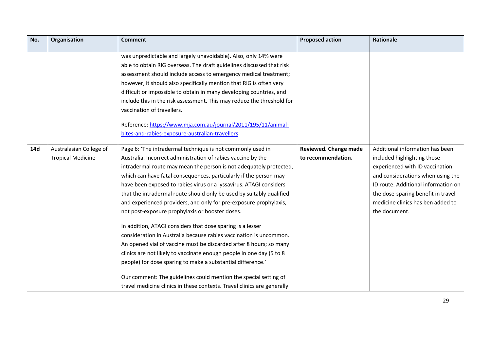| No. | Organisation             | <b>Comment</b>                                                          | <b>Proposed action</b> | Rationale                           |
|-----|--------------------------|-------------------------------------------------------------------------|------------------------|-------------------------------------|
|     |                          | was unpredictable and largely unavoidable). Also, only 14% were         |                        |                                     |
|     |                          | able to obtain RIG overseas. The draft guidelines discussed that risk   |                        |                                     |
|     |                          | assessment should include access to emergency medical treatment;        |                        |                                     |
|     |                          | however, it should also specifically mention that RIG is often very     |                        |                                     |
|     |                          | difficult or impossible to obtain in many developing countries, and     |                        |                                     |
|     |                          | include this in the risk assessment. This may reduce the threshold for  |                        |                                     |
|     |                          | vaccination of travellers.                                              |                        |                                     |
|     |                          |                                                                         |                        |                                     |
|     |                          | Reference: https://www.mja.com.au/journal/2011/195/11/animal-           |                        |                                     |
|     |                          | bites-and-rabies-exposure-australian-travellers                         |                        |                                     |
| 14d | Australasian College of  | Page 6: 'The intradermal technique is not commonly used in              | Reviewed. Change made  | Additional information has been     |
|     | <b>Tropical Medicine</b> | Australia. Incorrect administration of rabies vaccine by the            | to recommendation.     | included highlighting those         |
|     |                          | intradermal route may mean the person is not adequately protected,      |                        | experienced with ID vaccination     |
|     |                          | which can have fatal consequences, particularly if the person may       |                        | and considerations when using the   |
|     |                          | have been exposed to rabies virus or a lyssavirus. ATAGI considers      |                        | ID route. Additional information on |
|     |                          | that the intradermal route should only be used by suitably qualified    |                        | the dose-sparing benefit in travel  |
|     |                          | and experienced providers, and only for pre-exposure prophylaxis,       |                        | medicine clinics has ben added to   |
|     |                          | not post-exposure prophylaxis or booster doses.                         |                        | the document.                       |
|     |                          | In addition, ATAGI considers that dose sparing is a lesser              |                        |                                     |
|     |                          | consideration in Australia because rabies vaccination is uncommon.      |                        |                                     |
|     |                          | An opened vial of vaccine must be discarded after 8 hours; so many      |                        |                                     |
|     |                          | clinics are not likely to vaccinate enough people in one day (5 to 8    |                        |                                     |
|     |                          | people) for dose sparing to make a substantial difference.'             |                        |                                     |
|     |                          | Our comment: The guidelines could mention the special setting of        |                        |                                     |
|     |                          | travel medicine clinics in these contexts. Travel clinics are generally |                        |                                     |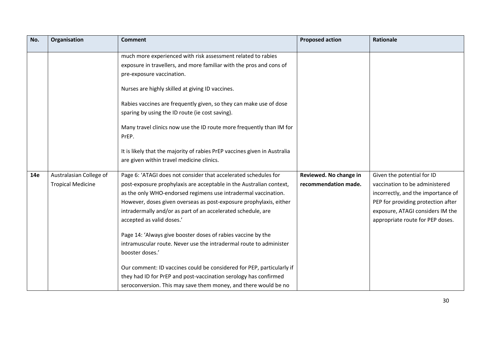| No. | Organisation             | <b>Comment</b>                                                                                                                                                   | <b>Proposed action</b> | Rationale                          |
|-----|--------------------------|------------------------------------------------------------------------------------------------------------------------------------------------------------------|------------------------|------------------------------------|
|     |                          | much more experienced with risk assessment related to rabies<br>exposure in travellers, and more familiar with the pros and cons of<br>pre-exposure vaccination. |                        |                                    |
|     |                          | Nurses are highly skilled at giving ID vaccines.                                                                                                                 |                        |                                    |
|     |                          | Rabies vaccines are frequently given, so they can make use of dose<br>sparing by using the ID route (ie cost saving).                                            |                        |                                    |
|     |                          | Many travel clinics now use the ID route more frequently than IM for<br>PrEP.                                                                                    |                        |                                    |
|     |                          | It is likely that the majority of rabies PrEP vaccines given in Australia<br>are given within travel medicine clinics.                                           |                        |                                    |
| 14e | Australasian College of  | Page 6: 'ATAGI does not consider that accelerated schedules for                                                                                                  | Reviewed. No change in | Given the potential for ID         |
|     | <b>Tropical Medicine</b> | post-exposure prophylaxis are acceptable in the Australian context,                                                                                              | recommendation made.   | vaccination to be administered     |
|     |                          | as the only WHO-endorsed regimens use intradermal vaccination.                                                                                                   |                        | incorrectly, and the importance of |
|     |                          | However, doses given overseas as post-exposure prophylaxis, either                                                                                               |                        | PEP for providing protection after |
|     |                          | intradermally and/or as part of an accelerated schedule, are                                                                                                     |                        | exposure, ATAGI considers IM the   |
|     |                          | accepted as valid doses.'                                                                                                                                        |                        | appropriate route for PEP doses.   |
|     |                          | Page 14: 'Always give booster doses of rabies vaccine by the                                                                                                     |                        |                                    |
|     |                          | intramuscular route. Never use the intradermal route to administer                                                                                               |                        |                                    |
|     |                          | booster doses.'                                                                                                                                                  |                        |                                    |
|     |                          | Our comment: ID vaccines could be considered for PEP, particularly if                                                                                            |                        |                                    |
|     |                          | they had ID for PrEP and post-vaccination serology has confirmed                                                                                                 |                        |                                    |
|     |                          | seroconversion. This may save them money, and there would be no                                                                                                  |                        |                                    |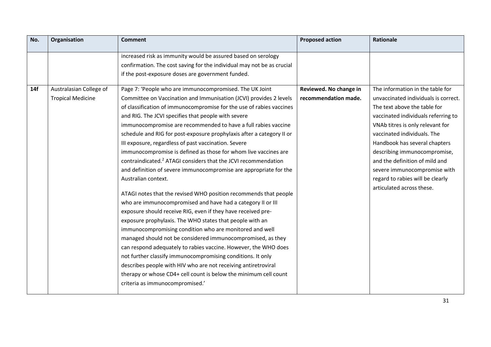| No. | Organisation             | <b>Comment</b>                                                             | <b>Proposed action</b> | <b>Rationale</b>                     |
|-----|--------------------------|----------------------------------------------------------------------------|------------------------|--------------------------------------|
|     |                          | increased risk as immunity would be assured based on serology              |                        |                                      |
|     |                          | confirmation. The cost saving for the individual may not be as crucial     |                        |                                      |
|     |                          | if the post-exposure doses are government funded.                          |                        |                                      |
|     |                          |                                                                            |                        |                                      |
| 14f | Australasian College of  | Page 7: 'People who are immunocompromised. The UK Joint                    | Reviewed. No change in | The information in the table for     |
|     | <b>Tropical Medicine</b> | Committee on Vaccination and Immunisation (JCVI) provides 2 levels         | recommendation made.   | unvaccinated individuals is correct. |
|     |                          | of classification of immunocompromise for the use of rabies vaccines       |                        | The text above the table for         |
|     |                          | and RIG. The JCVI specifies that people with severe                        |                        | vaccinated individuals referring to  |
|     |                          | immunocompromise are recommended to have a full rabies vaccine             |                        | VNAb titres is only relevant for     |
|     |                          | schedule and RIG for post-exposure prophylaxis after a category II or      |                        | vaccinated individuals. The          |
|     |                          | III exposure, regardless of past vaccination. Severe                       |                        | Handbook has several chapters        |
|     |                          | immunocompromise is defined as those for whom live vaccines are            |                        | describing immunocompromise,         |
|     |                          | contraindicated. <sup>2</sup> ATAGI considers that the JCVI recommendation |                        | and the definition of mild and       |
|     |                          | and definition of severe immunocompromise are appropriate for the          |                        | severe immunocompromise with         |
|     |                          | Australian context.                                                        |                        | regard to rabies will be clearly     |
|     |                          |                                                                            |                        | articulated across these.            |
|     |                          | ATAGI notes that the revised WHO position recommends that people           |                        |                                      |
|     |                          | who are immunocompromised and have had a category II or III                |                        |                                      |
|     |                          | exposure should receive RIG, even if they have received pre-               |                        |                                      |
|     |                          | exposure prophylaxis. The WHO states that people with an                   |                        |                                      |
|     |                          | immunocompromising condition who are monitored and well                    |                        |                                      |
|     |                          | managed should not be considered immunocompromised, as they                |                        |                                      |
|     |                          | can respond adequately to rabies vaccine. However, the WHO does            |                        |                                      |
|     |                          | not further classify immunocompromising conditions. It only                |                        |                                      |
|     |                          | describes people with HIV who are not receiving antiretroviral             |                        |                                      |
|     |                          | therapy or whose CD4+ cell count is below the minimum cell count           |                        |                                      |
|     |                          | criteria as immunocompromised.'                                            |                        |                                      |
|     |                          |                                                                            |                        |                                      |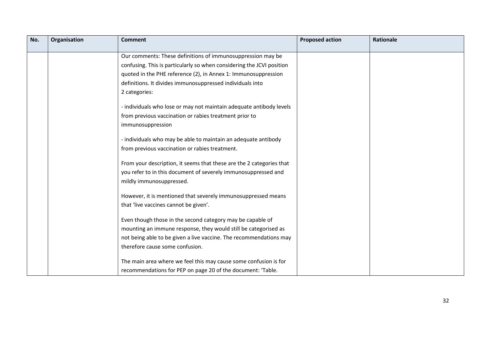| No. | Organisation | <b>Comment</b>                                                        | <b>Proposed action</b> | <b>Rationale</b> |
|-----|--------------|-----------------------------------------------------------------------|------------------------|------------------|
|     |              | Our comments: These definitions of immunosuppression may be           |                        |                  |
|     |              | confusing. This is particularly so when considering the JCVI position |                        |                  |
|     |              | quoted in the PHE reference (2), in Annex 1: Immunosuppression        |                        |                  |
|     |              | definitions. It divides immunosuppressed individuals into             |                        |                  |
|     |              | 2 categories:                                                         |                        |                  |
|     |              | - individuals who lose or may not maintain adequate antibody levels   |                        |                  |
|     |              | from previous vaccination or rabies treatment prior to                |                        |                  |
|     |              | immunosuppression                                                     |                        |                  |
|     |              | - individuals who may be able to maintain an adequate antibody        |                        |                  |
|     |              | from previous vaccination or rabies treatment.                        |                        |                  |
|     |              | From your description, it seems that these are the 2 categories that  |                        |                  |
|     |              | you refer to in this document of severely immunosuppressed and        |                        |                  |
|     |              | mildly immunosuppressed.                                              |                        |                  |
|     |              | However, it is mentioned that severely immunosuppressed means         |                        |                  |
|     |              | that 'live vaccines cannot be given'.                                 |                        |                  |
|     |              | Even though those in the second category may be capable of            |                        |                  |
|     |              | mounting an immune response, they would still be categorised as       |                        |                  |
|     |              | not being able to be given a live vaccine. The recommendations may    |                        |                  |
|     |              | therefore cause some confusion.                                       |                        |                  |
|     |              | The main area where we feel this may cause some confusion is for      |                        |                  |
|     |              | recommendations for PEP on page 20 of the document: 'Table.           |                        |                  |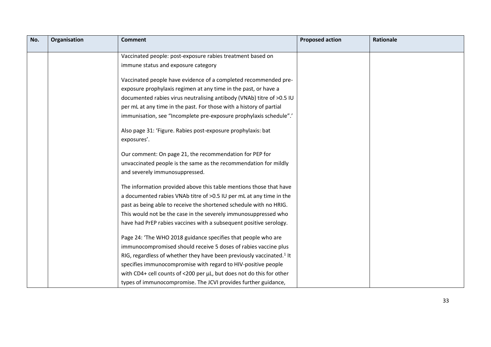| No. | Organisation | <b>Comment</b>                                                                   | <b>Proposed action</b> | <b>Rationale</b> |
|-----|--------------|----------------------------------------------------------------------------------|------------------------|------------------|
|     |              | Vaccinated people: post-exposure rabies treatment based on                       |                        |                  |
|     |              | immune status and exposure category                                              |                        |                  |
|     |              |                                                                                  |                        |                  |
|     |              | Vaccinated people have evidence of a completed recommended pre-                  |                        |                  |
|     |              | exposure prophylaxis regimen at any time in the past, or have a                  |                        |                  |
|     |              | documented rabies virus neutralising antibody (VNAb) titre of >0.5 IU            |                        |                  |
|     |              | per mL at any time in the past. For those with a history of partial              |                        |                  |
|     |              | immunisation, see "Incomplete pre-exposure prophylaxis schedule".'               |                        |                  |
|     |              | Also page 31: 'Figure. Rabies post-exposure prophylaxis: bat                     |                        |                  |
|     |              | exposures'.                                                                      |                        |                  |
|     |              | Our comment: On page 21, the recommendation for PEP for                          |                        |                  |
|     |              | unvaccinated people is the same as the recommendation for mildly                 |                        |                  |
|     |              | and severely immunosuppressed.                                                   |                        |                  |
|     |              | The information provided above this table mentions those that have               |                        |                  |
|     |              | a documented rabies VNAb titre of >0.5 IU per mL at any time in the              |                        |                  |
|     |              | past as being able to receive the shortened schedule with no HRIG.               |                        |                  |
|     |              | This would not be the case in the severely immunosuppressed who                  |                        |                  |
|     |              | have had PrEP rabies vaccines with a subsequent positive serology.               |                        |                  |
|     |              | Page 24: 'The WHO 2018 guidance specifies that people who are                    |                        |                  |
|     |              | immunocompromised should receive 5 doses of rabies vaccine plus                  |                        |                  |
|     |              | RIG, regardless of whether they have been previously vaccinated. <sup>1</sup> It |                        |                  |
|     |              | specifies immunocompromise with regard to HIV-positive people                    |                        |                  |
|     |              | with CD4+ cell counts of <200 per µL, but does not do this for other             |                        |                  |
|     |              | types of immunocompromise. The JCVI provides further guidance,                   |                        |                  |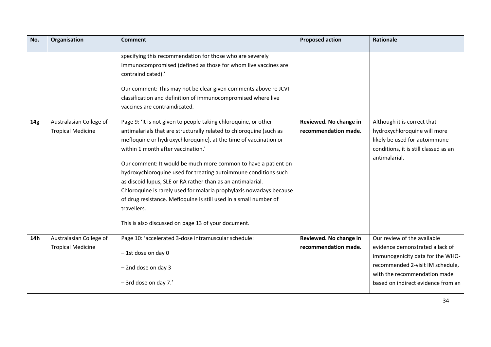| No.             | Organisation                                        | <b>Comment</b>                                                                                                                                                                                                                                                                                                                                                                                                                                                                                                                                                                                                                                                         | <b>Proposed action</b>                         | Rationale                                                                                                                                                                                                    |
|-----------------|-----------------------------------------------------|------------------------------------------------------------------------------------------------------------------------------------------------------------------------------------------------------------------------------------------------------------------------------------------------------------------------------------------------------------------------------------------------------------------------------------------------------------------------------------------------------------------------------------------------------------------------------------------------------------------------------------------------------------------------|------------------------------------------------|--------------------------------------------------------------------------------------------------------------------------------------------------------------------------------------------------------------|
|                 |                                                     | specifying this recommendation for those who are severely<br>immunocompromised (defined as those for whom live vaccines are<br>contraindicated).'<br>Our comment: This may not be clear given comments above re JCVI<br>classification and definition of immunocompromised where live<br>vaccines are contraindicated.                                                                                                                                                                                                                                                                                                                                                 |                                                |                                                                                                                                                                                                              |
| 14 <sub>g</sub> | Australasian College of<br><b>Tropical Medicine</b> | Page 9: 'It is not given to people taking chloroquine, or other<br>antimalarials that are structurally related to chloroquine (such as<br>mefloquine or hydroxychloroquine), at the time of vaccination or<br>within 1 month after vaccination.'<br>Our comment: It would be much more common to have a patient on<br>hydroxychloroquine used for treating autoimmune conditions such<br>as discoid lupus, SLE or RA rather than as an antimalarial.<br>Chloroquine is rarely used for malaria prophylaxis nowadays because<br>of drug resistance. Mefloquine is still used in a small number of<br>travellers.<br>This is also discussed on page 13 of your document. | Reviewed. No change in<br>recommendation made. | Although it is correct that<br>hydroxychloroquine will more<br>likely be used for autoimmune<br>conditions, it is still classed as an<br>antimalarial.                                                       |
| 14h             | Australasian College of<br><b>Tropical Medicine</b> | Page 10: 'accelerated 3-dose intramuscular schedule:<br>-1st dose on day 0<br>$-$ 2nd dose on day 3<br>$-$ 3rd dose on day 7.'                                                                                                                                                                                                                                                                                                                                                                                                                                                                                                                                         | Reviewed. No change in<br>recommendation made. | Our review of the available<br>evidence demonstrated a lack of<br>immunogenicity data for the WHO-<br>recommended 2-visit IM schedule,<br>with the recommendation made<br>based on indirect evidence from an |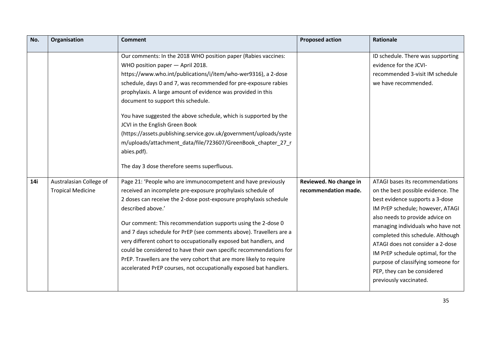| No. | Organisation             | <b>Comment</b>                                                                                                                                                                                                                                                                                                                                                                                                                                                                                                                                                                                                                                                                                                          | <b>Proposed action</b> | <b>Rationale</b>                                                                                                                                                                                                                                                                                                                                                                               |
|-----|--------------------------|-------------------------------------------------------------------------------------------------------------------------------------------------------------------------------------------------------------------------------------------------------------------------------------------------------------------------------------------------------------------------------------------------------------------------------------------------------------------------------------------------------------------------------------------------------------------------------------------------------------------------------------------------------------------------------------------------------------------------|------------------------|------------------------------------------------------------------------------------------------------------------------------------------------------------------------------------------------------------------------------------------------------------------------------------------------------------------------------------------------------------------------------------------------|
| 14i | Australasian College of  | Our comments: In the 2018 WHO position paper (Rabies vaccines:<br>WHO position paper - April 2018.<br>https://www.who.int/publications/i/item/who-wer9316), a 2-dose<br>schedule, days 0 and 7, was recommended for pre-exposure rabies<br>prophylaxis. A large amount of evidence was provided in this<br>document to support this schedule.<br>You have suggested the above schedule, which is supported by the<br>JCVI in the English Green Book<br>(https://assets.publishing.service.gov.uk/government/uploads/syste<br>m/uploads/attachment data/file/723607/GreenBook chapter 27 r<br>abies.pdf).<br>The day 3 dose therefore seems superfluous.<br>Page 21: 'People who are immunocompetent and have previously | Reviewed. No change in | ID schedule. There was supporting<br>evidence for the JCVI-<br>recommended 3-visit IM schedule<br>we have recommended.<br>ATAGI bases its recommendations                                                                                                                                                                                                                                      |
|     | <b>Tropical Medicine</b> | received an incomplete pre-exposure prophylaxis schedule of<br>2 doses can receive the 2-dose post-exposure prophylaxis schedule<br>described above.'<br>Our comment: This recommendation supports using the 2-dose 0<br>and 7 days schedule for PrEP (see comments above). Travellers are a<br>very different cohort to occupationally exposed bat handlers, and<br>could be considered to have their own specific recommendations for<br>PrEP. Travellers are the very cohort that are more likely to require<br>accelerated PrEP courses, not occupationally exposed bat handlers.                                                                                                                                   | recommendation made.   | on the best possible evidence. The<br>best evidence supports a 3-dose<br>IM PrEP schedule; however, ATAGI<br>also needs to provide advice on<br>managing individuals who have not<br>completed this schedule. Although<br>ATAGI does not consider a 2-dose<br>IM PrEP schedule optimal, for the<br>purpose of classifying someone for<br>PEP, they can be considered<br>previously vaccinated. |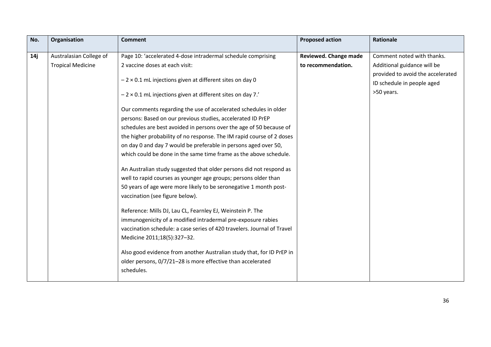| No. | Organisation             | <b>Comment</b>                                                          | <b>Proposed action</b> | <b>Rationale</b>                  |
|-----|--------------------------|-------------------------------------------------------------------------|------------------------|-----------------------------------|
| 14ј | Australasian College of  | Page 10: 'accelerated 4-dose intradermal schedule comprising            | Reviewed. Change made  | Comment noted with thanks.        |
|     | <b>Tropical Medicine</b> | 2 vaccine doses at each visit:                                          | to recommendation.     | Additional guidance will be       |
|     |                          |                                                                         |                        | provided to avoid the accelerated |
|     |                          | $-2 \times 0.1$ mL injections given at different sites on day 0         |                        | ID schedule in people aged        |
|     |                          | $-2 \times 0.1$ mL injections given at different sites on day 7.'       |                        | >50 years.                        |
|     |                          | Our comments regarding the use of accelerated schedules in older        |                        |                                   |
|     |                          | persons: Based on our previous studies, accelerated ID PrEP             |                        |                                   |
|     |                          | schedules are best avoided in persons over the age of 50 because of     |                        |                                   |
|     |                          | the higher probability of no response. The IM rapid course of 2 doses   |                        |                                   |
|     |                          | on day 0 and day 7 would be preferable in persons aged over 50,         |                        |                                   |
|     |                          | which could be done in the same time frame as the above schedule.       |                        |                                   |
|     |                          | An Australian study suggested that older persons did not respond as     |                        |                                   |
|     |                          | well to rapid courses as younger age groups; persons older than         |                        |                                   |
|     |                          | 50 years of age were more likely to be seronegative 1 month post-       |                        |                                   |
|     |                          | vaccination (see figure below).                                         |                        |                                   |
|     |                          | Reference: Mills DJ, Lau CL, Fearnley EJ, Weinstein P. The              |                        |                                   |
|     |                          | immunogenicity of a modified intradermal pre-exposure rabies            |                        |                                   |
|     |                          | vaccination schedule: a case series of 420 travelers. Journal of Travel |                        |                                   |
|     |                          | Medicine 2011;18(5):327-32.                                             |                        |                                   |
|     |                          | Also good evidence from another Australian study that, for ID PrEP in   |                        |                                   |
|     |                          | older persons, 0/7/21-28 is more effective than accelerated             |                        |                                   |
|     |                          | schedules.                                                              |                        |                                   |
|     |                          |                                                                         |                        |                                   |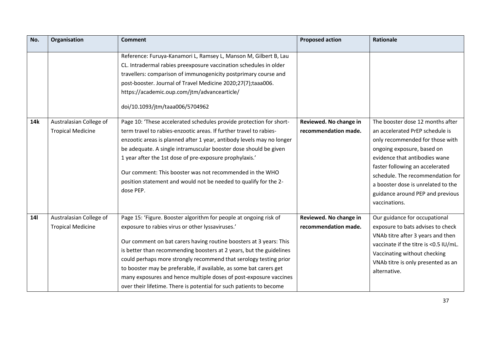| No.        | Organisation                                        | <b>Comment</b>                                                                                                                                                                                                                                                                                                                                                                                                                                                                                                                                            | <b>Proposed action</b>                         | Rationale                                                                                                                                                                                                                                                                                                                               |
|------------|-----------------------------------------------------|-----------------------------------------------------------------------------------------------------------------------------------------------------------------------------------------------------------------------------------------------------------------------------------------------------------------------------------------------------------------------------------------------------------------------------------------------------------------------------------------------------------------------------------------------------------|------------------------------------------------|-----------------------------------------------------------------------------------------------------------------------------------------------------------------------------------------------------------------------------------------------------------------------------------------------------------------------------------------|
|            |                                                     | Reference: Furuya-Kanamori L, Ramsey L, Manson M, Gilbert B, Lau<br>CL. Intradermal rabies preexposure vaccination schedules in older<br>travellers: comparison of immunogenicity postprimary course and<br>post-booster. Journal of Travel Medicine 2020;27(7);taaa006.<br>https://academic.oup.com/jtm/advancearticle/<br>doi/10.1093/jtm/taaa006/5704962                                                                                                                                                                                               |                                                |                                                                                                                                                                                                                                                                                                                                         |
| <b>14k</b> | Australasian College of<br><b>Tropical Medicine</b> | Page 10: 'These accelerated schedules provide protection for short-<br>term travel to rabies-enzootic areas. If further travel to rabies-<br>enzootic areas is planned after 1 year, antibody levels may no longer<br>be adequate. A single intramuscular booster dose should be given<br>1 year after the 1st dose of pre-exposure prophylaxis.'<br>Our comment: This booster was not recommended in the WHO<br>position statement and would not be needed to qualify for the 2-<br>dose PEP.                                                            | Reviewed. No change in<br>recommendation made. | The booster dose 12 months after<br>an accelerated PrEP schedule is<br>only recommended for those with<br>ongoing exposure, based on<br>evidence that antibodies wane<br>faster following an accelerated<br>schedule. The recommendation for<br>a booster dose is unrelated to the<br>guidance around PEP and previous<br>vaccinations. |
| <b>14l</b> | Australasian College of<br><b>Tropical Medicine</b> | Page 15: 'Figure. Booster algorithm for people at ongoing risk of<br>exposure to rabies virus or other lyssaviruses.'<br>Our comment on bat carers having routine boosters at 3 years: This<br>is better than recommending boosters at 2 years, but the guidelines<br>could perhaps more strongly recommend that serology testing prior<br>to booster may be preferable, if available, as some bat carers get<br>many exposures and hence multiple doses of post-exposure vaccines<br>over their lifetime. There is potential for such patients to become | Reviewed. No change in<br>recommendation made. | Our guidance for occupational<br>exposure to bats advises to check<br>VNAb titre after 3 years and then<br>vaccinate if the titre is <0.5 IU/mL.<br>Vaccinating without checking<br>VNAb titre is only presented as an<br>alternative.                                                                                                  |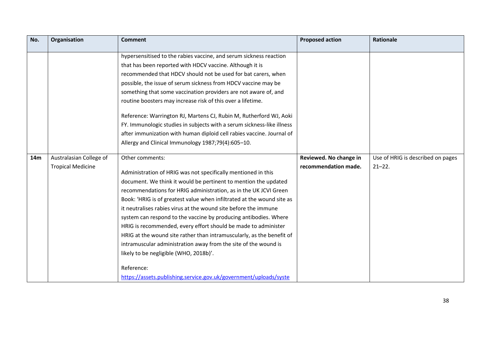| No.             | Organisation             | <b>Comment</b>                                                         | <b>Proposed action</b> | <b>Rationale</b>                  |
|-----------------|--------------------------|------------------------------------------------------------------------|------------------------|-----------------------------------|
|                 |                          | hypersensitised to the rabies vaccine, and serum sickness reaction     |                        |                                   |
|                 |                          | that has been reported with HDCV vaccine. Although it is               |                        |                                   |
|                 |                          |                                                                        |                        |                                   |
|                 |                          | recommended that HDCV should not be used for bat carers, when          |                        |                                   |
|                 |                          | possible, the issue of serum sickness from HDCV vaccine may be         |                        |                                   |
|                 |                          | something that some vaccination providers are not aware of, and        |                        |                                   |
|                 |                          | routine boosters may increase risk of this over a lifetime.            |                        |                                   |
|                 |                          | Reference: Warrington RJ, Martens CJ, Rubin M, Rutherford WJ, Aoki     |                        |                                   |
|                 |                          | FY. Immunologic studies in subjects with a serum sickness-like illness |                        |                                   |
|                 |                          | after immunization with human diploid cell rabies vaccine. Journal of  |                        |                                   |
|                 |                          | Allergy and Clinical Immunology 1987;79(4):605-10.                     |                        |                                   |
|                 |                          |                                                                        |                        |                                   |
| 14 <sub>m</sub> | Australasian College of  | Other comments:                                                        | Reviewed. No change in | Use of HRIG is described on pages |
|                 | <b>Tropical Medicine</b> | Administration of HRIG was not specifically mentioned in this          | recommendation made.   | $21 - 22$ .                       |
|                 |                          | document. We think it would be pertinent to mention the updated        |                        |                                   |
|                 |                          | recommendations for HRIG administration, as in the UK JCVI Green       |                        |                                   |
|                 |                          | Book: 'HRIG is of greatest value when infiltrated at the wound site as |                        |                                   |
|                 |                          |                                                                        |                        |                                   |
|                 |                          | it neutralises rabies virus at the wound site before the immune        |                        |                                   |
|                 |                          | system can respond to the vaccine by producing antibodies. Where       |                        |                                   |
|                 |                          | HRIG is recommended, every effort should be made to administer         |                        |                                   |
|                 |                          | HRIG at the wound site rather than intramuscularly, as the benefit of  |                        |                                   |
|                 |                          | intramuscular administration away from the site of the wound is        |                        |                                   |
|                 |                          | likely to be negligible (WHO, 2018b)'.                                 |                        |                                   |
|                 |                          | Reference:                                                             |                        |                                   |
|                 |                          | https://assets.publishing.service.gov.uk/government/uploads/syste      |                        |                                   |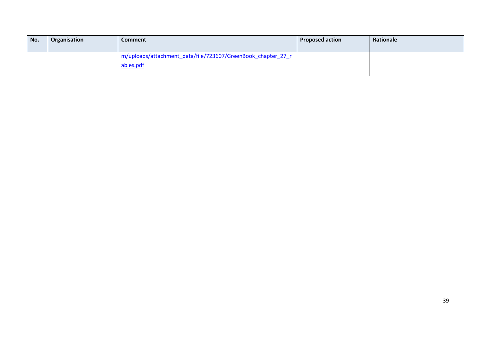| No. | Organisation | Comment                                                                   | <b>Proposed action</b> | Rationale |
|-----|--------------|---------------------------------------------------------------------------|------------------------|-----------|
|     |              | m/uploads/attachment data/file/723607/GreenBook chapter 27 r<br>abies.pdf |                        |           |